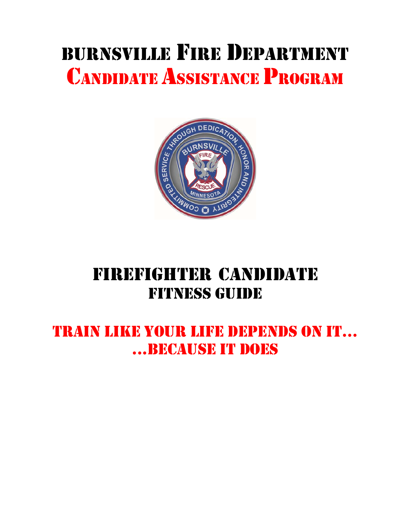# BURNSVILLE FIRE DEPARTMENT CANDIDATE ASSISTANCE PROGRAM



## FIREFIGHTER CANDIDATE FITNESS GUIDE

### TRAIN LIKE YOUR LIFE DEPENDS ON IT… ...BECAUSE IT DOES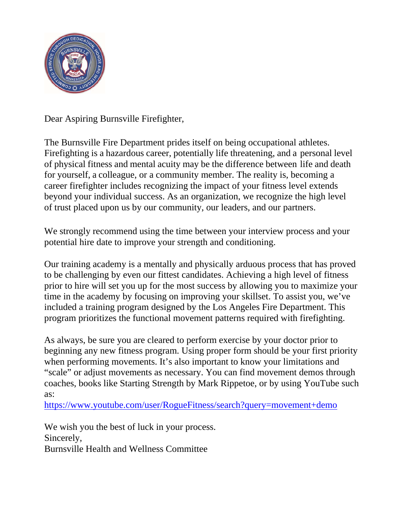

Dear Aspiring Burnsville Firefighter,

The Burnsville Fire Department prides itself on being occupational athletes. Firefighting is a hazardous career, potentially life threatening, and a personal level of physical fitness and mental acuity may be the difference between life and death for yourself, a colleague, or a community member. The reality is, becoming a career firefighter includes recognizing the impact of your fitness level extends beyond your individual success. As an organization, we recognize the high level of trust placed upon us by our community, our leaders, and our partners.

We strongly recommend using the time between your interview process and your potential hire date to improve your strength and conditioning.

Our training academy is a mentally and physically arduous process that has proved to be challenging by even our fittest candidates. Achieving a high level of fitness prior to hire will set you up for the most success by allowing you to maximize your time in the academy by focusing on improving your skillset. To assist you, we've included a training program designed by the Los Angeles Fire Department. This program prioritizes the functional movement patterns required with firefighting.

As always, be sure you are cleared to perform exercise by your doctor prior to beginning any new fitness program. Using proper form should be your first priority when performing movements. It's also important to know your limitations and "scale" or adjust movements as necessary. You can find movement demos through coaches, books like Starting Strength by Mark Rippetoe, or by using YouTube such as:

https://www.youtube.com/user/RogueFitness/search?query=movement+demo

We wish you the best of luck in your process. Sincerely, Burnsville Health and Wellness Committee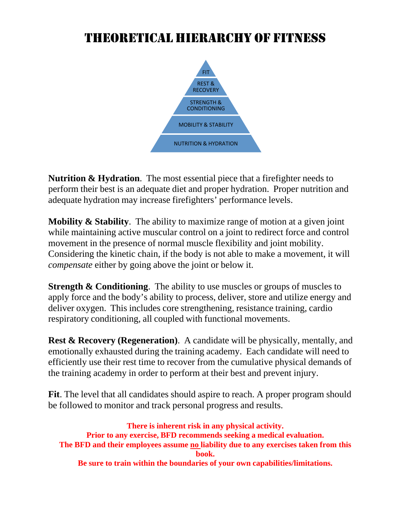### THEORETICAL HIERARCHY OF FITNESS



**Nutrition & Hydration**. The most essential piece that a firefighter needs to perform their best is an adequate diet and proper hydration. Proper nutrition and adequate hydration may increase firefighters' performance levels.

**Mobility & Stability**. The ability to maximize range of motion at a given joint while maintaining active muscular control on a joint to redirect force and control movement in the presence of normal muscle flexibility and joint mobility. Considering the kinetic chain, if the body is not able to make a movement, it will *compensate* either by going above the joint or below it.

**Strength & Conditioning**. The ability to use muscles or groups of muscles to apply force and the body's ability to process, deliver, store and utilize energy and deliver oxygen. This includes core strengthening, resistance training, cardio respiratory conditioning, all coupled with functional movements.

**Rest & Recovery (Regeneration)**. A candidate will be physically, mentally, and emotionally exhausted during the training academy. Each candidate will need to efficiently use their rest time to recover from the cumulative physical demands of the training academy in order to perform at their best and prevent injury.

**Fit**. The level that all candidates should aspire to reach. A proper program should be followed to monitor and track personal progress and results.

**There is inherent risk in any physical activity. Prior to any exercise, BFD recommends seeking a medical evaluation. The BFD and their employees assume no liability due to any exercises taken from this book. Be sure to train within the boundaries of your own capabilities/limitations.**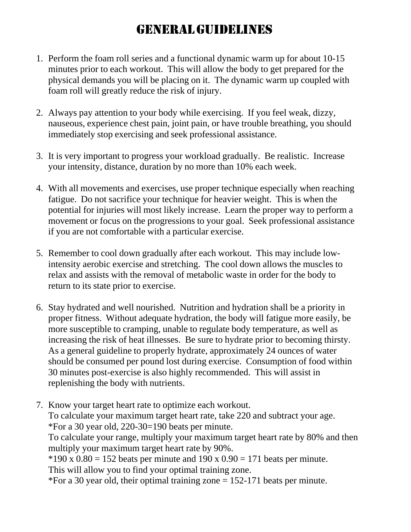### GENERAL GUIDELINES

- 1. Perform the foam roll series and a functional dynamic warm up for about 10-15 minutes prior to each workout. This will allow the body to get prepared for the physical demands you will be placing on it. The dynamic warm up coupled with foam roll will greatly reduce the risk of injury.
- 2. Always pay attention to your body while exercising. If you feel weak, dizzy, nauseous, experience chest pain, joint pain, or have trouble breathing, you should immediately stop exercising and seek professional assistance.
- 3. It is very important to progress your workload gradually. Be realistic. Increase your intensity, distance, duration by no more than 10% each week.
- 4. With all movements and exercises, use proper technique especially when reaching fatigue. Do not sacrifice your technique for heavier weight. This is when the potential for injuries will most likely increase. Learn the proper way to perform a movement or focus on the progressions to your goal. Seek professional assistance if you are not comfortable with a particular exercise.
- 5. Remember to cool down gradually after each workout. This may include lowintensity aerobic exercise and stretching. The cool down allows the muscles to relax and assists with the removal of metabolic waste in order for the body to return to its state prior to exercise.
- 6. Stay hydrated and well nourished. Nutrition and hydration shall be a priority in proper fitness. Without adequate hydration, the body will fatigue more easily, be more susceptible to cramping, unable to regulate body temperature, as well as increasing the risk of heat illnesses. Be sure to hydrate prior to becoming thirsty. As a general guideline to properly hydrate, approximately 24 ounces of water should be consumed per pound lost during exercise. Consumption of food within 30 minutes post-exercise is also highly recommended. This will assist in replenishing the body with nutrients.
- 7. Know your target heart rate to optimize each workout. To calculate your maximum target heart rate, take 220 and subtract your age. \*For a 30 year old, 220-30=190 beats per minute.

To calculate your range, multiply your maximum target heart rate by 80% and then multiply your maximum target heart rate by 90%.

 $*190 \times 0.80 = 152$  beats per minute and  $190 \times 0.90 = 171$  beats per minute.

This will allow you to find your optimal training zone.

\*For a 30 year old, their optimal training zone  $= 152-171$  beats per minute.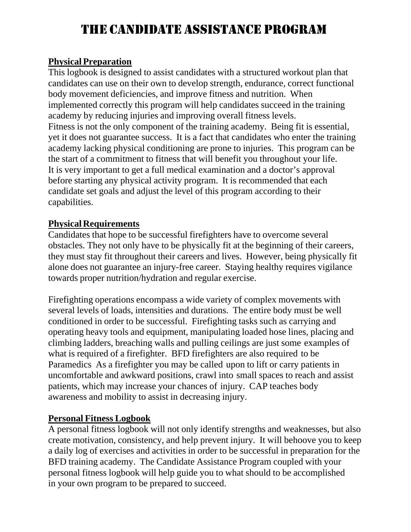### THE CANDIDATE ASSISTANCE PROGRAM

#### **Physical Preparation**

This logbook is designed to assist candidates with a structured workout plan that candidates can use on their own to develop strength, endurance, correct functional body movement deficiencies, and improve fitness and nutrition. When implemented correctly this program will help candidates succeed in the training academy by reducing injuries and improving overall fitness levels. Fitness is not the only component of the training academy. Being fit is essential, yet it does not guarantee success. It is a fact that candidates who enter the training academy lacking physical conditioning are prone to injuries. This program can be the start of a commitment to fitness that will benefit you throughout your life. It is very important to get a full medical examination and a doctor's approval before starting any physical activity program. It is recommended that each candidate set goals and adjust the level of this program according to their capabilities.

#### **Physical Requirements**

Candidates that hope to be successful firefighters have to overcome several obstacles. They not only have to be physically fit at the beginning of their careers, they must stay fit throughout their careers and lives. However, being physically fit alone does not guarantee an injury-free career. Staying healthy requires vigilance towards proper nutrition/hydration and regular exercise.

Firefighting operations encompass a wide variety of complex movements with several levels of loads, intensities and durations. The entire body must be well conditioned in order to be successful. Firefighting tasks such as carrying and operating heavy tools and equipment, manipulating loaded hose lines, placing and climbing ladders, breaching walls and pulling ceilings are just some examples of what is required of a firefighter. BFD firefighters are also required to be Paramedics As a firefighter you may be called upon to lift or carry patients in uncomfortable and awkward positions, crawl into small spaces to reach and assist patients, which may increase your chances of injury. CAP teaches body awareness and mobility to assist in decreasing injury.

#### **Personal Fitness Logbook**

A personal fitness logbook will not only identify strengths and weaknesses, but also create motivation, consistency, and help prevent injury. It will behoove you to keep a daily log of exercises and activities in order to be successful in preparation for the BFD training academy. The Candidate Assistance Program coupled with your personal fitness logbook will help guide you to what should to be accomplished in your own program to be prepared to succeed.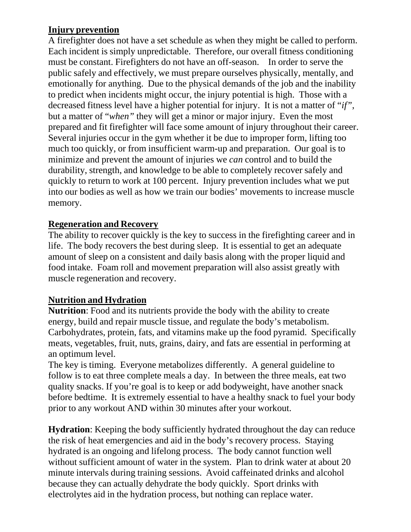#### **Injury prevention**

A firefighter does not have a set schedule as when they might be called to perform. Each incident is simply unpredictable. Therefore, our overall fitness conditioning must be constant. Firefighters do not have an off-season. In order to serve the public safely and effectively, we must prepare ourselves physically, mentally, and emotionally for anything. Due to the physical demands of the job and the inability to predict when incidents might occur, the injury potential is high. Those with a decreased fitness level have a higher potential for injury. It is not a matter of "*if"*, but a matter of "*when"* they will get a minor or major injury. Even the most prepared and fit firefighter will face some amount of injury throughout their career. Several injuries occur in the gym whether it be due to improper form, lifting too much too quickly, or from insufficient warm-up and preparation. Our goal is to minimize and prevent the amount of injuries we *can* control and to build the durability, strength, and knowledge to be able to completely recover safely and quickly to return to work at 100 percent. Injury prevention includes what we put into our bodies as well as how we train our bodies' movements to increase muscle memory.

#### **Regeneration and Recovery**

The ability to recover quickly is the key to success in the firefighting career and in life. The body recovers the best during sleep. It is essential to get an adequate amount of sleep on a consistent and daily basis along with the proper liquid and food intake. Foam roll and movement preparation will also assist greatly with muscle regeneration and recovery.

#### **Nutrition and Hydration**

**Nutrition**: Food and its nutrients provide the body with the ability to create energy, build and repair muscle tissue, and regulate the body's metabolism. Carbohydrates, protein, fats, and vitamins make up the food pyramid. Specifically meats, vegetables, fruit, nuts, grains, dairy, and fats are essential in performing at an optimum level.

The key is timing. Everyone metabolizes differently. A general guideline to follow is to eat three complete meals a day. In between the three meals, eat two quality snacks. If you're goal is to keep or add bodyweight, have another snack before bedtime. It is extremely essential to have a healthy snack to fuel your body prior to any workout AND within 30 minutes after your workout.

**Hydration**: Keeping the body sufficiently hydrated throughout the day can reduce the risk of heat emergencies and aid in the body's recovery process. Staying hydrated is an ongoing and lifelong process. The body cannot function well without sufficient amount of water in the system. Plan to drink water at about 20 minute intervals during training sessions. Avoid caffeinated drinks and alcohol because they can actually dehydrate the body quickly. Sport drinks with electrolytes aid in the hydration process, but nothing can replace water.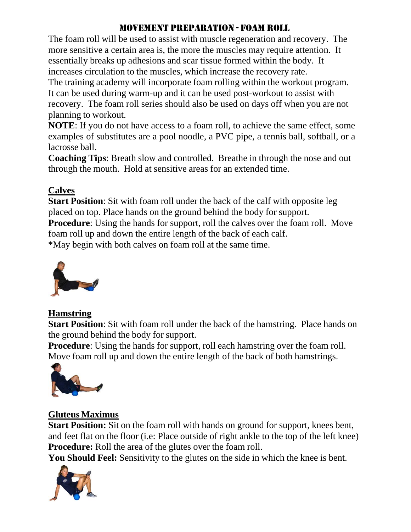#### MOVEMENT PREPARATION - FOAM ROLL

The foam roll will be used to assist with muscle regeneration and recovery. The more sensitive a certain area is, the more the muscles may require attention. It essentially breaks up adhesions and scar tissue formed within the body. It increases circulation to the muscles, which increase the recovery rate.

The training academy will incorporate foam rolling within the workout program. It can be used during warm-up and it can be used post-workout to assist with recovery. The foam roll series should also be used on days off when you are not planning to workout.

**NOTE**: If you do not have access to a foam roll, to achieve the same effect, some examples of substitutes are a pool noodle, a PVC pipe, a tennis ball, softball, or a lacrosse ball.

**Coaching Tips**: Breath slow and controlled. Breathe in through the nose and out through the mouth. Hold at sensitive areas for an extended time.

#### **Calves**

**Start Position**: Sit with foam roll under the back of the calf with opposite leg placed on top. Place hands on the ground behind the body for support. **Procedure**: Using the hands for support, roll the calves over the foam roll. Move foam roll up and down the entire length of the back of each calf. \*May begin with both calves on foam roll at the same time.



#### **Hamstring**

**Start Position**: Sit with foam roll under the back of the hamstring. Place hands on the ground behind the body for support.

**Procedure**: Using the hands for support, roll each hamstring over the foam roll. Move foam roll up and down the entire length of the back of both hamstrings.



#### **Gluteus Maximus**

**Start Position:** Sit on the foam roll with hands on ground for support, knees bent, and feet flat on the floor (i.e: Place outside of right ankle to the top of the left knee) **Procedure:** Roll the area of the glutes over the foam roll.

**You Should Feel:** Sensitivity to the glutes on the side in which the knee is bent.

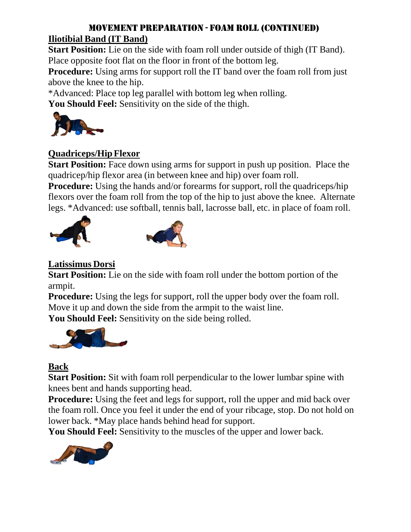#### MOVEMENT PREPARATION - FOAM ROLL (CONTINUED) **Iliotibial Band (IT Band)**

**Start Position:** Lie on the side with foam roll under outside of thigh (IT Band). Place opposite foot flat on the floor in front of the bottom leg.

**Procedure:** Using arms for support roll the IT band over the foam roll from just above the knee to the hip.

\*Advanced: Place top leg parallel with bottom leg when rolling.

You Should Feel: Sensitivity on the side of the thigh.



#### **Quadriceps/Hip Flexor**

**Start Position:** Face down using arms for support in push up position. Place the quadricep/hip flexor area (in between knee and hip) over foam roll.

**Procedure:** Using the hands and/or forearms for support, roll the quadriceps/hip flexors over the foam roll from the top of the hip to just above the knee. Alternate legs. \*Advanced: use softball, tennis ball, lacrosse ball, etc. in place of foam roll.





#### **Latissimus Dorsi**

**Start Position:** Lie on the side with foam roll under the bottom portion of the armpit.

**Procedure:** Using the legs for support, roll the upper body over the foam roll. Move it up and down the side from the armpit to the waist line.

**You Should Feel:** Sensitivity on the side being rolled.



#### **Back**

**Start Position:** Sit with foam roll perpendicular to the lower lumbar spine with knees bent and hands supporting head.

**Procedure:** Using the feet and legs for support, roll the upper and mid back over the foam roll. Once you feel it under the end of your ribcage, stop. Do not hold on lower back. \*May place hands behind head for support.

**You Should Feel:** Sensitivity to the muscles of the upper and lower back.

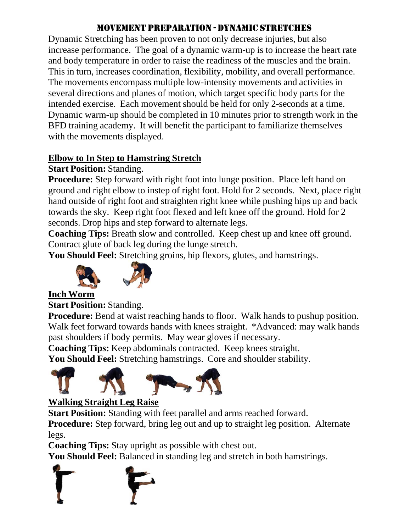#### MOVEMENT PREPARATION - DYNAMIC STRETCHES

Dynamic Stretching has been proven to not only decrease injuries, but also increase performance. The goal of a dynamic warm-up is to increase the heart rate and body temperature in order to raise the readiness of the muscles and the brain. This in turn, increases coordination, flexibility, mobility, and overall performance. The movements encompass multiple low-intensity movements and activities in several directions and planes of motion, which target specific body parts for the intended exercise. Each movement should be held for only 2-seconds at a time. Dynamic warm-up should be completed in 10 minutes prior to strength work in the BFD training academy. It will benefit the participant to familiarize themselves with the movements displayed.

#### **Elbow to In Step to Hamstring Stretch**

#### **Start Position:** Standing.

**Procedure:** Step forward with right foot into lunge position. Place left hand on ground and right elbow to instep of right foot. Hold for 2 seconds. Next, place right hand outside of right foot and straighten right knee while pushing hips up and back towards the sky. Keep right foot flexed and left knee off the ground. Hold for 2 seconds. Drop hips and step forward to alternate legs.

**Coaching Tips:** Breath slow and controlled. Keep chest up and knee off ground. Contract glute of back leg during the lunge stretch.

**You Should Feel:** Stretching groins, hip flexors, glutes, and hamstrings.





#### **Inch Worm**

**Start Position: Standing.** 

**Procedure:** Bend at waist reaching hands to floor. Walk hands to pushup position. Walk feet forward towards hands with knees straight. \*Advanced: may walk hands past shoulders if body permits. May wear gloves if necessary.

**Coaching Tips:** Keep abdominals contracted. Keep knees straight.

**You Should Feel:** Stretching hamstrings. Core and shoulder stability.



#### **Walking Straight Leg Raise**

**Start Position:** Standing with feet parallel and arms reached forward.

**Procedure:** Step forward, bring leg out and up to straight leg position. Alternate legs.

**Coaching Tips:** Stay upright as possible with chest out.

**You Should Feel:** Balanced in standing leg and stretch in both hamstrings.

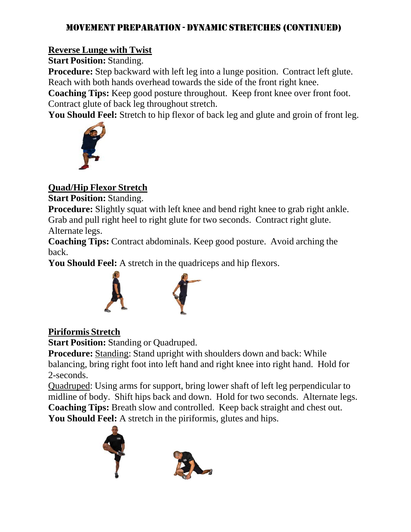#### MOVEMENT PREPARATION - DYNAMIC STRETCHES (CONTINUED)

#### **Reverse Lunge with Twist**

**Start Position: Standing.** 

**Procedure:** Step backward with left leg into a lunge position. Contract left glute. Reach with both hands overhead towards the side of the front right knee.

**Coaching Tips:** Keep good posture throughout. Keep front knee over front foot. Contract glute of back leg throughout stretch.

You Should Feel: Stretch to hip flexor of back leg and glute and groin of front leg.



#### **Quad/Hip Flexor Stretch**

**Start Position: Standing.** 

**Procedure:** Slightly squat with left knee and bend right knee to grab right ankle. Grab and pull right heel to right glute for two seconds. Contract right glute.

Alternate legs.

**Coaching Tips:** Contract abdominals. Keep good posture. Avoid arching the back.

**You Should Feel:** A stretch in the quadriceps and hip flexors.



#### **Piriformis Stretch**

**Start Position:** Standing or Quadruped.

**Procedure:** Standing: Stand upright with shoulders down and back: While balancing, bring right foot into left hand and right knee into right hand. Hold for 2-seconds.

Quadruped: Using arms for support, bring lower shaft of left leg perpendicular to midline of body. Shift hips back and down. Hold for two seconds. Alternate legs. **Coaching Tips:** Breath slow and controlled. Keep back straight and chest out. **You Should Feel:** A stretch in the piriformis, glutes and hips.



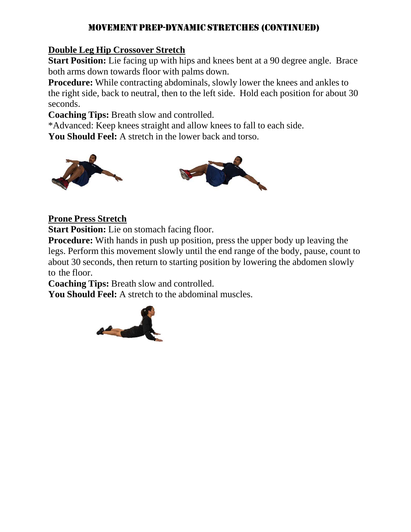#### MOVEMENT PREP-DYNAMIC STRETCHES (CONTINUED)

#### **Double Leg Hip Crossover Stretch**

**Start Position:** Lie facing up with hips and knees bent at a 90 degree angle. Brace both arms down towards floor with palms down.

**Procedure:** While contracting abdominals, slowly lower the knees and ankles to the right side, back to neutral, then to the left side. Hold each position for about 30 seconds.

**Coaching Tips:** Breath slow and controlled.

\*Advanced: Keep knees straight and allow knees to fall to each side.

**You Should Feel:** A stretch in the lower back and torso.



#### **Prone Press Stretch**

**Start Position:** Lie on stomach facing floor.

**Procedure:** With hands in push up position, press the upper body up leaving the legs. Perform this movement slowly until the end range of the body, pause, count to about 30 seconds, then return to starting position by lowering the abdomen slowly to the floor.

**Coaching Tips:** Breath slow and controlled.

**You Should Feel:** A stretch to the abdominal muscles.

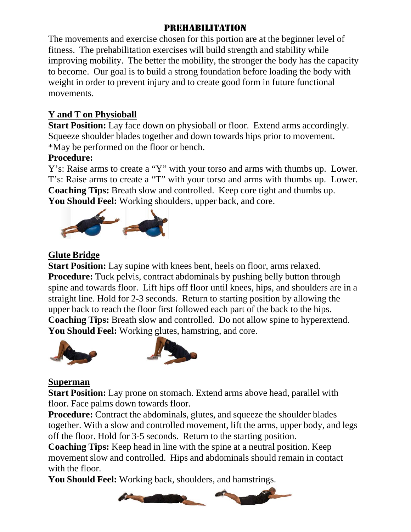#### PREHABILITATION

The movements and exercise chosen for this portion are at the beginner level of fitness. The prehabilitation exercises will build strength and stability while improving mobility. The better the mobility, the stronger the body has the capacity to become. Our goal is to build a strong foundation before loading the body with weight in order to prevent injury and to create good form in future functional movements.

#### **Y and T on Physioball**

**Start Position:** Lay face down on physioball or floor. Extend arms accordingly. Squeeze shoulder blades together and down towards hips prior to movement. \*May be performed on the floor or bench.

#### **Procedure:**

Y's: Raise arms to create a "Y" with your torso and arms with thumbs up. Lower. T's: Raise arms to create a "T" with your torso and arms with thumbs up. Lower. **Coaching Tips:** Breath slow and controlled. Keep core tight and thumbs up. **You Should Feel:** Working shoulders, upper back, and core.



#### **Glute Bridge**

**Start Position:** Lay supine with knees bent, heels on floor, arms relaxed. **Procedure:** Tuck pelvis, contract abdominals by pushing belly button through spine and towards floor. Lift hips off floor until knees, hips, and shoulders are in a straight line. Hold for 2-3 seconds. Return to starting position by allowing the upper back to reach the floor first followed each part of the back to the hips. **Coaching Tips:** Breath slow and controlled. Do not allow spine to hyperextend. You Should Feel: Working glutes, hamstring, and core.





#### **Superman**

**Start Position:** Lay prone on stomach. Extend arms above head, parallel with floor. Face palms down towards floor.

**Procedure:** Contract the abdominals, glutes, and squeeze the shoulder blades together. With a slow and controlled movement, lift the arms, upper body, and legs off the floor. Hold for 3-5 seconds. Return to the starting position.

**Coaching Tips:** Keep head in line with the spine at a neutral position. Keep movement slow and controlled. Hips and abdominals should remain in contact with the floor.

**You Should Feel:** Working back, shoulders, and hamstrings.

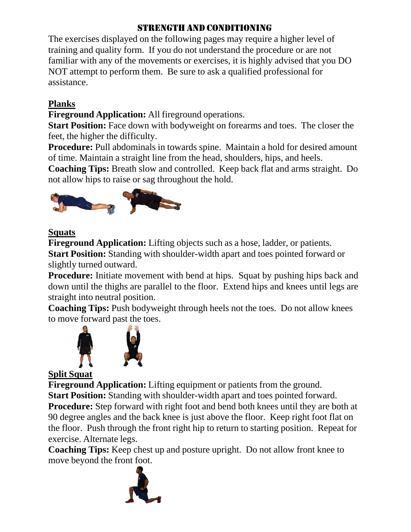#### STRENGTH AND CONDITIONING

The exercises displayed on the following pages may require a higher level of training and quality form. If you do not understand the procedure or are not familiar with any of the movements or exercises, it is highly advised that you DO NOT attempt to perform them. Be sure to ask a qualified professional for assistance.

#### **Planks**

**Fireground Application:** All fireground operations.

**Start Position:** Face down with bodyweight on forearms and toes. The closer the feet, the higher the difficulty.

**Procedure:** Pull abdominals in towards spine. Maintain a hold for desired amount of time. Maintain a straight line from the head, shoulders, hips, and heels.

**Coaching Tips:** Breath slow and controlled. Keep back flat and arms straight. Do not allow hips to raise or sag throughout the hold.



#### **Squats**

**Fireground Application:** Lifting objects such as a hose, ladder, or patients. **Start Position:** Standing with shoulder-width apart and toes pointed forward or slightly turned outward.

**Procedure:** Initiate movement with bend at hips. Squat by pushing hips back and down until the thighs are parallel to the floor. Extend hips and knees until legs are straight into neutral position.

**Coaching Tips:** Push bodyweight through heels not the toes. Do not allow knees to move forward past the toes.



#### **Split Squat**

**Fireground Application:** Lifting equipment or patients from the ground. **Start Position:** Standing with shoulder-width apart and toes pointed forward. **Procedure:** Step forward with right foot and bend both knees until they are both at 90 degree angles and the back knee is just above the floor. Keep right foot flat on the floor. Push through the front right hip to return to starting position. Repeat for

exercise. Alternate legs.

**Coaching Tips:** Keep chest up and posture upright. Do not allow front knee to move beyond the front foot.

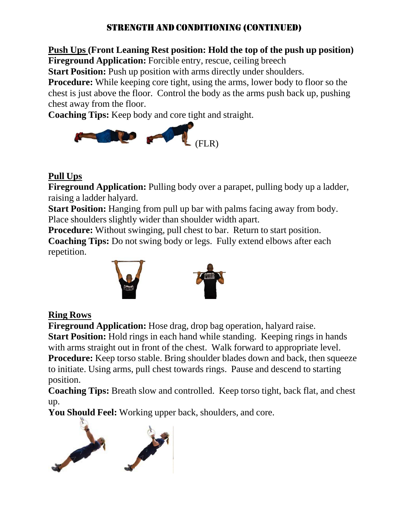#### STRENGTH AND CONDITIONING (CONTINUED)

### **Push Ups (Front Leaning Rest position: Hold the top of the push up position)**

**Fireground Application:** Forcible entry, rescue, ceiling breech

**Start Position:** Push up position with arms directly under shoulders.

**Procedure:** While keeping core tight, using the arms, lower body to floor so the chest is just above the floor. Control the body as the arms push back up, pushing chest away from the floor.

**Coaching Tips:** Keep body and core tight and straight.



#### **Pull Ups**

**Fireground Application:** Pulling body over a parapet, pulling body up a ladder, raising a ladder halyard.

**Start Position:** Hanging from pull up bar with palms facing away from body. Place shoulders slightly wider than shoulder width apart.

**Procedure:** Without swinging, pull chest to bar. Return to start position.

**Coaching Tips:** Do not swing body or legs. Fully extend elbows after each repetition.



#### **Ring Rows**

**Fireground Application:** Hose drag, drop bag operation, halyard raise. **Start Position:** Hold rings in each hand while standing. Keeping rings in hands with arms straight out in front of the chest. Walk forward to appropriate level. **Procedure:** Keep torso stable. Bring shoulder blades down and back, then squeeze to initiate. Using arms, pull chest towards rings. Pause and descend to starting position.

**Coaching Tips:** Breath slow and controlled. Keep torso tight, back flat, and chest up.

**You Should Feel:** Working upper back, shoulders, and core.

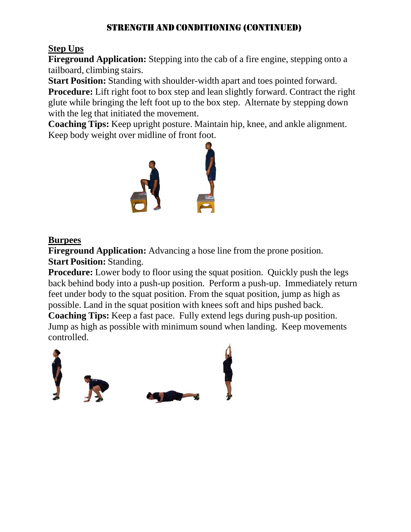#### STRENGTH AND CONDITIONING (CONTINUED)

#### **Step Ups**

**Fireground Application:** Stepping into the cab of a fire engine, stepping onto a tailboard, climbing stairs.

**Start Position:** Standing with shoulder-width apart and toes pointed forward. **Procedure:** Lift right foot to box step and lean slightly forward. Contract the right glute while bringing the left foot up to the box step. Alternate by stepping down with the leg that initiated the movement.

**Coaching Tips:** Keep upright posture. Maintain hip, knee, and ankle alignment. Keep body weight over midline of front foot.



#### **Burpees**

**Fireground Application:** Advancing a hose line from the prone position. **Start Position: Standing.** 

**Procedure:** Lower body to floor using the squat position. Quickly push the legs back behind body into a push-up position. Perform a push-up. Immediately return feet under body to the squat position. From the squat position, jump as high as possible. Land in the squat position with knees soft and hips pushed back.

**Coaching Tips:** Keep a fast pace. Fully extend legs during push-up position. Jump as high as possible with minimum sound when landing. Keep movements controlled.

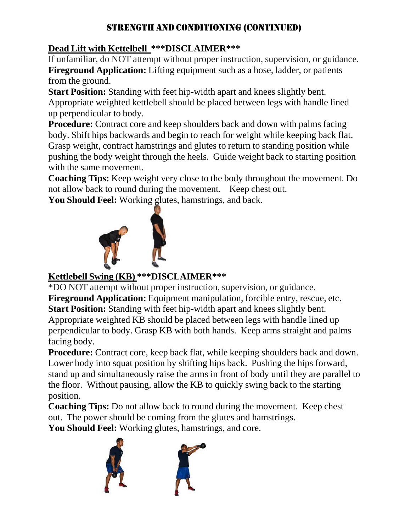#### STRENGTH AND CONDITIONING (CONTINUED)

#### **Dead Lift with Kettelbell \*\*\*DISCLAIMER\*\*\***

If unfamiliar, do NOT attempt without proper instruction, supervision, or guidance. **Fireground Application:** Lifting equipment such as a hose, ladder, or patients from the ground.

**Start Position:** Standing with feet hip-width apart and knees slightly bent. Appropriate weighted kettlebell should be placed between legs with handle lined up perpendicular to body.

**Procedure:** Contract core and keep shoulders back and down with palms facing body. Shift hips backwards and begin to reach for weight while keeping back flat. Grasp weight, contract hamstrings and glutes to return to standing position while pushing the body weight through the heels. Guide weight back to starting position with the same movement.

**Coaching Tips:** Keep weight very close to the body throughout the movement. Do not allow back to round during the movement. Keep chest out.

**You Should Feel:** Working glutes, hamstrings, and back.



#### **Kettlebell Swing (KB) \*\*\*DISCLAIMER\*\*\***

\*DO NOT attempt without proper instruction, supervision, or guidance. **Fireground Application:** Equipment manipulation, forcible entry, rescue, etc. **Start Position:** Standing with feet hip-width apart and knees slightly bent. Appropriate weighted KB should be placed between legs with handle lined up perpendicular to body. Grasp KB with both hands. Keep arms straight and palms facing body.

**Procedure:** Contract core, keep back flat, while keeping shoulders back and down. Lower body into squat position by shifting hips back. Pushing the hips forward, stand up and simultaneously raise the arms in front of body until they are parallel to the floor. Without pausing, allow the KB to quickly swing back to the starting position.

**Coaching Tips:** Do not allow back to round during the movement. Keep chest out. The power should be coming from the glutes and hamstrings. You Should Feel: Working glutes, hamstrings, and core.

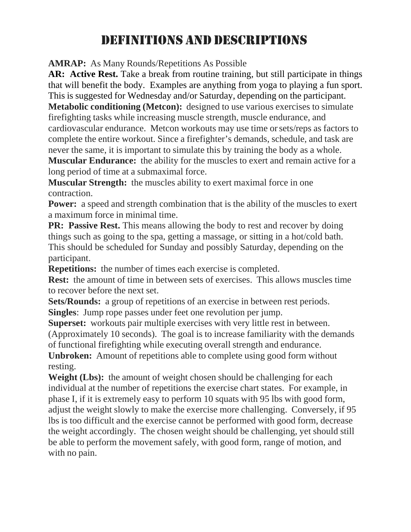### DEFINITIONS AND DESCRIPTIONS

**AMRAP:** As Many Rounds/Repetitions As Possible

AR: Active Rest. Take a break from routine training, but still participate in things that will benefit the body. Examples are anything from yoga to playing a fun sport. This is suggested for Wednesday and/or Saturday, depending on the participant.

**Metabolic conditioning (Metcon):** designed to use various exercises to simulate firefighting tasks while increasing muscle strength, muscle endurance, and cardiovascular endurance. Metcon workouts may use time or sets/reps as factors to complete the entire workout. Since a firefighter's demands, schedule, and task are never the same, it is important to simulate this by training the body as a whole.

**Muscular Endurance:** the ability for the muscles to exert and remain active for a long period of time at a submaximal force.

**Muscular Strength:** the muscles ability to exert maximal force in one contraction.

**Power:** a speed and strength combination that is the ability of the muscles to exert a maximum force in minimal time.

**PR: Passive Rest.** This means allowing the body to rest and recover by doing things such as going to the spa, getting a massage, or sitting in a hot/cold bath. This should be scheduled for Sunday and possibly Saturday, depending on the participant.

**Repetitions:** the number of times each exercise is completed.

**Rest:** the amount of time in between sets of exercises. This allows muscles time to recover before the next set.

**Sets/Rounds:** a group of repetitions of an exercise in between rest periods. **Singles**: Jump rope passes under feet one revolution per jump.

**Superset:** workouts pair multiple exercises with very little rest in between. (Approximately 10 seconds). The goal is to increase familiarity with the demands of functional firefighting while executing overall strength and endurance.

**Unbroken:** Amount of repetitions able to complete using good form without resting.

**Weight (Lbs):** the amount of weight chosen should be challenging for each individual at the number of repetitions the exercise chart states. For example, in phase I, if it is extremely easy to perform 10 squats with 95 lbs with good form, adjust the weight slowly to make the exercise more challenging. Conversely, if 95 lbs is too difficult and the exercise cannot be performed with good form, decrease the weight accordingly. The chosen weight should be challenging, yet should still be able to perform the movement safely, with good form, range of motion, and with no pain.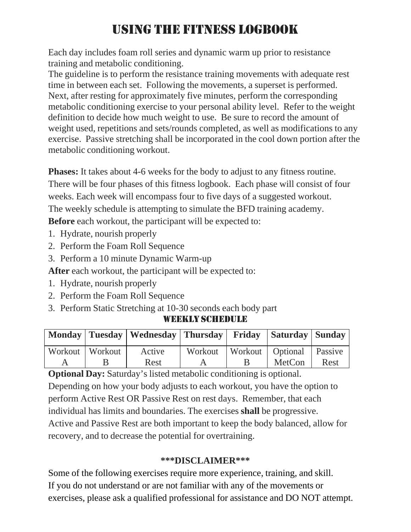### USING THE FITNESS LOGBOOK

Each day includes foam roll series and dynamic warm up prior to resistance training and metabolic conditioning.

The guideline is to perform the resistance training movements with adequate rest time in between each set. Following the movements, a superset is performed. Next, after resting for approximately five minutes, perform the corresponding metabolic conditioning exercise to your personal ability level. Refer to the weight definition to decide how much weight to use. Be sure to record the amount of weight used, repetitions and sets/rounds completed, as well as modifications to any exercise. Passive stretching shall be incorporated in the cool down portion after the metabolic conditioning workout.

**Phases:** It takes about 4-6 weeks for the body to adjust to any fitness routine. There will be four phases of this fitness logbook. Each phase will consist of four weeks. Each week will encompass four to five days of a suggested workout. The weekly schedule is attempting to simulate the BFD training academy. **Before** each workout, the participant will be expected to:

1. Hydrate, nourish properly

- 2. Perform the Foam Roll Sequence
- 3. Perform a 10 minute Dynamic Warm-up

**After** each workout, the participant will be expected to:

- 1. Hydrate, nourish properly
- 2. Perform the Foam Roll Sequence
- 3. Perform Static Stretching at 10-30 seconds each body part

#### WEEKLY SCHEDULE

|                   | Monday   Tuesday   Wednesday   Thursday   Friday   Saturday   Sunday |  |                                        |      |
|-------------------|----------------------------------------------------------------------|--|----------------------------------------|------|
| Workout   Workout | Active                                                               |  | Workout   Workout   Optional   Passive |      |
|                   | Rest                                                                 |  | <b>MetCon</b>                          | Rest |

**Optional Day:** Saturday's listed metabolic conditioning is optional. Depending on how your body adjusts to each workout, you have the option to perform Active Rest OR Passive Rest on rest days. Remember, that each individual has limits and boundaries. The exercises **shall** be progressive. Active and Passive Rest are both important to keep the body balanced, allow for recovery, and to decrease the potential for overtraining.

#### **\*\*\*DISCLAIMER\*\*\***

Some of the following exercises require more experience, training, and skill. If you do not understand or are not familiar with any of the movements or exercises, please ask a qualified professional for assistance and DO NOT attempt.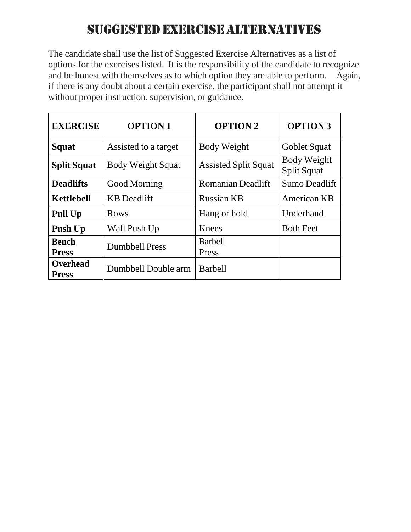### SUGGESTED EXERCISE ALTERNATIVES

The candidate shall use the list of Suggested Exercise Alternatives as a list of options for the exercises listed. It is the responsibility of the candidate to recognize and be honest with themselves as to which option they are able to perform. Again, if there is any doubt about a certain exercise, the participant shall not attempt it without proper instruction, supervision, or guidance.

| <b>EXERCISE</b>                 | <b>OPTION1</b>           | <b>OPTION 2</b>             | <b>OPTION 3</b>                          |  |  |
|---------------------------------|--------------------------|-----------------------------|------------------------------------------|--|--|
| Squat                           | Assisted to a target     | Body Weight                 | Goblet Squat                             |  |  |
| <b>Split Squat</b>              | <b>Body Weight Squat</b> | <b>Assisted Split Squat</b> | <b>Body Weight</b><br><b>Split Squat</b> |  |  |
| <b>Deadlifts</b>                | Good Morning             | <b>Romanian Deadlift</b>    | Sumo Deadlift                            |  |  |
| <b>Kettlebell</b>               | <b>KB</b> Deadlift       | <b>Russian KB</b>           | American KB                              |  |  |
| <b>Pull Up</b>                  | Rows                     | Hang or hold                | Underhand                                |  |  |
| Push Up                         | Wall Push Up             | Knees                       | <b>Both Feet</b>                         |  |  |
| <b>Bench</b><br><b>Press</b>    | <b>Dumbbell Press</b>    | <b>Barbell</b><br>Press     |                                          |  |  |
| <b>Overhead</b><br><b>Press</b> | Dumbbell Double arm      | <b>Barbell</b>              |                                          |  |  |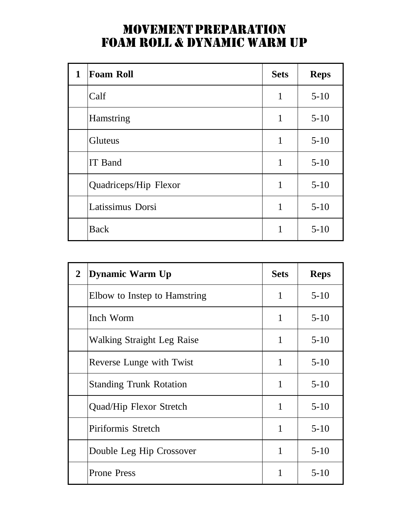### MOVEMENT PREPARATION FOAM ROLL & DYNAMIC WARM UP

| 1 | <b>Foam Roll</b>      | <b>Sets</b> | <b>Reps</b> |
|---|-----------------------|-------------|-------------|
|   | Calf                  | 1           | $5 - 10$    |
|   | Hamstring             | 1           | $5 - 10$    |
|   | Gluteus               | 1           | $5 - 10$    |
|   | <b>IT Band</b>        | 1           | $5 - 10$    |
|   | Quadriceps/Hip Flexor | 1           | $5 - 10$    |
|   | Latissimus Dorsi      | 1           | $5 - 10$    |
|   | <b>Back</b>           | 1           | $5 - 10$    |

| $\overline{2}$ | <b>Dynamic Warm Up</b>            | <b>Sets</b> | <b>Reps</b> |
|----------------|-----------------------------------|-------------|-------------|
|                | Elbow to Instep to Hamstring      | 1           | $5 - 10$    |
|                | Inch Worm                         | 1           | $5-10$      |
|                | <b>Walking Straight Leg Raise</b> | 1           | $5-10$      |
|                | Reverse Lunge with Twist          | 1           | $5-10$      |
|                | <b>Standing Trunk Rotation</b>    | 1           | $5-10$      |
|                | Quad/Hip Flexor Stretch           | 1           | $5-10$      |
|                | Piriformis Stretch                | 1           | $5-10$      |
|                | Double Leg Hip Crossover          | 1           | $5-10$      |
|                | <b>Prone Press</b>                | 1           | $5-10$      |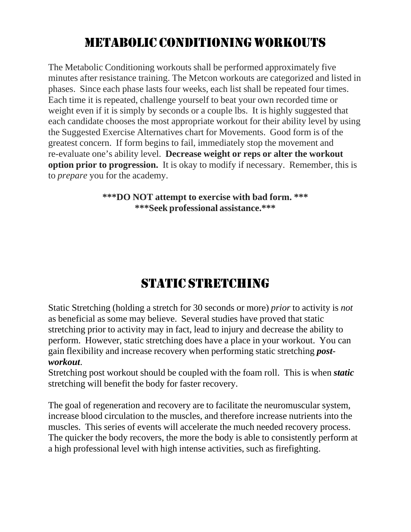### METABOLIC CONDITIONING WORKOUTS

The Metabolic Conditioning workouts shall be performed approximately five minutes after resistance training. The Metcon workouts are categorized and listed in phases. Since each phase lasts four weeks, each list shall be repeated four times. Each time it is repeated, challenge yourself to beat your own recorded time or weight even if it is simply by seconds or a couple lbs. It is highly suggested that each candidate chooses the most appropriate workout for their ability level by using the Suggested Exercise Alternatives chart for Movements. Good form is of the greatest concern. If form begins to fail, immediately stop the movement and re-evaluate one's ability level. **Decrease weight or reps or alter the workout option prior to progression.** It is okay to modify if necessary. Remember, this is to *prepare* you for the academy.

> **\*\*\*DO NOT attempt to exercise with bad form. \*\*\* \*\*\*Seek professional assistance.\*\*\***

### STATIC STRETCHING

Static Stretching (holding a stretch for 30 seconds or more) *prior* to activity is *not* as beneficial as some may believe. Several studies have proved that static stretching prior to activity may in fact, lead to injury and decrease the ability to perform. However, static stretching does have a place in your workout. You can gain flexibility and increase recovery when performing static stretching *postworkout*.

Stretching post workout should be coupled with the foam roll. This is when *static* stretching will benefit the body for faster recovery.

The goal of regeneration and recovery are to facilitate the neuromuscular system, increase blood circulation to the muscles, and therefore increase nutrients into the muscles. This series of events will accelerate the much needed recovery process. The quicker the body recovers, the more the body is able to consistently perform at a high professional level with high intense activities, such as firefighting.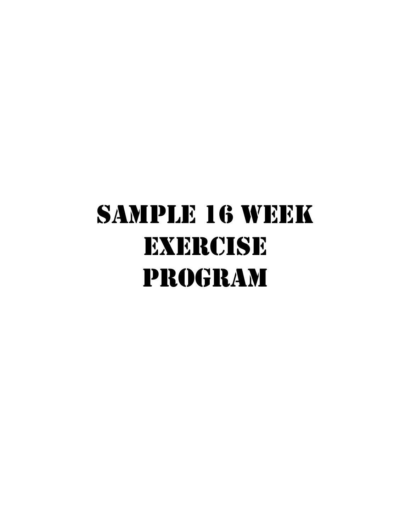# SAMPLE 16 WEEK EXERCISE PROGRAM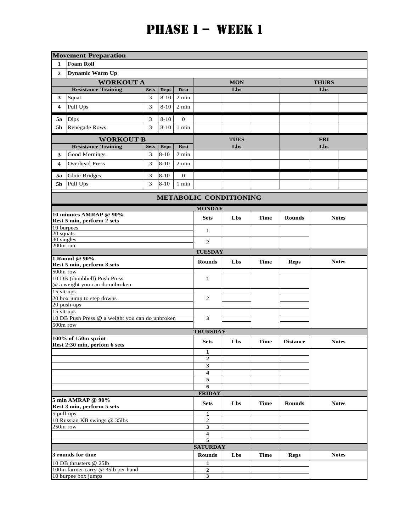|                         | <b>Movement Preparation</b>                         |                  |                         |                                |                                  |             |             |                 |              |              |  |
|-------------------------|-----------------------------------------------------|------------------|-------------------------|--------------------------------|----------------------------------|-------------|-------------|-----------------|--------------|--------------|--|
| 1                       | <b>Foam Roll</b>                                    |                  |                         |                                |                                  |             |             |                 |              |              |  |
| $\mathbf{2}$            | Dynamic Warm Up                                     |                  |                         |                                |                                  |             |             |                 |              |              |  |
|                         | <b>WORKOUT A</b>                                    |                  |                         |                                |                                  | <b>MON</b>  |             |                 | <b>THURS</b> |              |  |
|                         | <b>Resistance Training</b>                          | <b>Sets</b>      | <b>Reps</b>             | <b>Rest</b>                    |                                  | Lbs         |             |                 | Lbs          |              |  |
| 3                       | Squat                                               | 3                | $8 - 10$                | 2 min                          |                                  |             |             |                 |              |              |  |
| 4                       | Pull Ups                                            | 3                | $8 - 10$                | 2 min                          |                                  |             |             |                 |              |              |  |
| 5a                      |                                                     |                  | $8 - 10$                | $\boldsymbol{0}$               |                                  |             |             |                 |              |              |  |
| 5b                      | Dips<br>Renegade Rows                               | 3<br>3           | $8 - 10$                | 1 min                          |                                  |             |             |                 |              |              |  |
|                         |                                                     |                  |                         |                                |                                  |             |             |                 |              |              |  |
|                         | <b>WORKOUT B</b>                                    |                  |                         |                                |                                  | <b>TUES</b> |             |                 | <b>FRI</b>   |              |  |
| 3                       | <b>Resistance Training</b>                          | <b>Sets</b><br>3 | <b>Reps</b><br>$8 - 10$ | <b>Rest</b><br>$2 \text{ min}$ |                                  | Lbs         |             |                 | Lbs          |              |  |
|                         | Good Mornings                                       | 3                |                         |                                |                                  |             |             |                 |              |              |  |
| $\overline{\mathbf{4}}$ | <b>Overhead Press</b>                               |                  | $8 - 10$                | 2 min                          |                                  |             |             |                 |              |              |  |
| 5a                      | <b>Glute Bridges</b>                                | 3                | $8 - 10$                | $\boldsymbol{0}$               |                                  |             |             |                 |              |              |  |
| 5b                      | Pull Ups                                            | 3                | $8 - 10$                | 1 min                          |                                  |             |             |                 |              |              |  |
|                         | <b>METABOLIC CONDITIONING</b>                       |                  |                         |                                |                                  |             |             |                 |              |              |  |
|                         |                                                     |                  |                         |                                | <b>MONDAY</b>                    |             |             |                 |              |              |  |
|                         | 10 minutes AMRAP @ 90%                              |                  |                         |                                | <b>Sets</b>                      | Lbs         | <b>Time</b> | <b>Rounds</b>   |              | <b>Notes</b> |  |
| 10 burpees              | Rest 5 min, perform 2 sets                          |                  |                         |                                |                                  |             |             |                 |              |              |  |
| 20 squats               |                                                     |                  |                         |                                | $\mathbf{1}$                     |             |             |                 |              |              |  |
| 30 singles              |                                                     |                  |                         |                                | $\mathbf{2}$                     |             |             |                 |              |              |  |
| $200m$ run              |                                                     |                  |                         |                                | <b>TUESDAY</b>                   |             |             |                 |              |              |  |
|                         | 1 Round @ 90%                                       |                  |                         |                                |                                  |             |             |                 |              |              |  |
|                         | Rest 5 min, perform 3 sets                          |                  |                         |                                | <b>Rounds</b>                    | Lbs         | <b>Time</b> | <b>Reps</b>     |              | <b>Notes</b> |  |
| 500m row                | 10 DB (dumbbell) Push Press                         |                  |                         |                                |                                  |             |             |                 |              |              |  |
|                         | @ a weight you can do unbroken                      |                  |                         |                                | 1                                |             |             |                 |              |              |  |
| 15 sit-ups              |                                                     |                  |                         |                                |                                  |             |             |                 |              |              |  |
|                         | 20 box jump to step downs                           |                  |                         |                                | $\overline{2}$                   |             |             |                 |              |              |  |
| 15 sit-ups              | 20 push-ups                                         |                  |                         |                                |                                  |             |             |                 |              |              |  |
|                         | 10 DB Push Press @ a weight you can do unbroken     |                  |                         |                                | 3                                |             |             |                 |              |              |  |
| 500m row                |                                                     |                  |                         |                                |                                  |             |             |                 |              |              |  |
|                         |                                                     |                  |                         |                                | <b>THURSDAY</b>                  |             |             |                 |              |              |  |
|                         | 100% of 150m sprint<br>Rest 2:30 min, perfom 6 sets |                  |                         |                                | <b>Sets</b>                      | Lbs         | <b>Time</b> | <b>Distance</b> |              | <b>Notes</b> |  |
|                         |                                                     |                  |                         |                                | $\mathbf{1}$                     |             |             |                 |              |              |  |
|                         |                                                     |                  |                         |                                | $\mathbf{2}$                     |             |             |                 |              |              |  |
|                         |                                                     |                  |                         |                                | 3                                |             |             |                 |              |              |  |
|                         |                                                     |                  |                         |                                | $\overline{\mathbf{4}}$<br>5     |             |             |                 |              |              |  |
|                         |                                                     |                  |                         |                                | 6                                |             |             |                 |              |              |  |
|                         |                                                     |                  |                         |                                | <b>FRIDAY</b>                    |             |             |                 |              |              |  |
|                         | 5 min AMRAP @ 90%                                   |                  |                         |                                | <b>Sets</b>                      | Lbs         | <b>Time</b> | <b>Rounds</b>   |              | <b>Notes</b> |  |
|                         | Rest 3 min, perform 5 sets                          |                  |                         |                                |                                  |             |             |                 |              |              |  |
| 5 pull-ups              | 10 Russian KB swings @ 35lbs                        |                  |                         |                                | $\mathbf{1}$<br>$\overline{2}$   |             |             |                 |              |              |  |
|                         | 250m row                                            |                  |                         |                                |                                  |             |             |                 |              |              |  |
|                         |                                                     |                  |                         |                                | $\overline{3}$<br>4              |             |             |                 |              |              |  |
|                         |                                                     |                  |                         |                                | 5                                |             |             |                 |              |              |  |
|                         | 3 rounds for time                                   |                  |                         |                                | <b>SATURDAY</b><br><b>Rounds</b> | Lbs         | <b>Time</b> |                 |              | <b>Notes</b> |  |
|                         | 10 DB thrusters @ 25lb                              |                  |                         |                                |                                  | <b>Reps</b> |             |                 |              |              |  |
|                         | 100m farmer carry @ 35lb per hand                   |                  |                         |                                | $\mathbf{1}$<br>$\mathbf{2}$     |             |             |                 |              |              |  |
|                         | 10 burpee box jumps                                 |                  |                         |                                | $\overline{3}$                   |             |             |                 |              |              |  |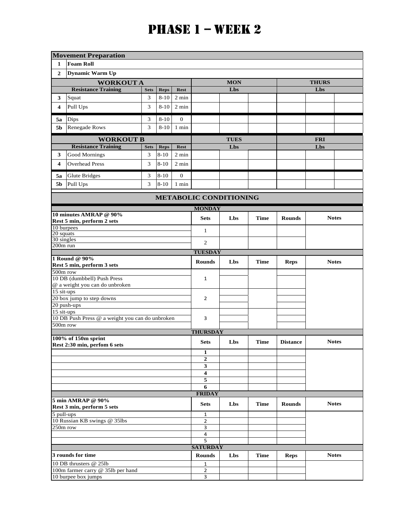|                               | <b>Movement Preparation</b>                          |             |                |                 |                                |             |             |                 |              |              |  |
|-------------------------------|------------------------------------------------------|-------------|----------------|-----------------|--------------------------------|-------------|-------------|-----------------|--------------|--------------|--|
| $\mathbf{1}$                  | <b>Foam Roll</b>                                     |             |                |                 |                                |             |             |                 |              |              |  |
| $\mathbf{2}$                  | <b>Dynamic Warm Up</b>                               |             |                |                 |                                |             |             |                 |              |              |  |
|                               | <b>WORKOUT A</b>                                     |             |                |                 |                                | <b>MON</b>  |             | <b>THURS</b>    |              |              |  |
|                               | <b>Resistance Training</b>                           | <b>Sets</b> | <b>Reps</b>    | <b>Rest</b>     |                                | Lbs         |             |                 | Lbs          |              |  |
| 3                             | Squat                                                | 3           | $8 - 10$       | 2 min           |                                |             |             |                 |              |              |  |
| 4                             | Pull Ups                                             | 3           | $8 - 10$       | 2 min           |                                |             |             |                 |              |              |  |
|                               |                                                      |             |                |                 |                                |             |             |                 |              |              |  |
| 5a                            | Dips                                                 | 3           | $8 - 10$       | $\mathbf{0}$    |                                |             |             |                 |              |              |  |
| 5 <sub>b</sub>                | <b>Renegade Rows</b>                                 | 3           | $8 - 10$       | 1 min           |                                |             |             |                 |              |              |  |
|                               | <b>WORKOUT B</b>                                     |             |                |                 |                                | <b>TUES</b> |             |                 | <b>FRI</b>   |              |  |
|                               | <b>Resistance Training</b>                           | <b>Sets</b> | <b>Reps</b>    | <b>Rest</b>     |                                | Lbs         |             |                 | Lbs          |              |  |
| 3                             | Good Mornings                                        | 3           | $8 - 10$       | $2 \text{ min}$ |                                |             |             |                 |              |              |  |
| 4                             | <b>Overhead Press</b>                                | 3           | $8 - 10$       | 2 min           |                                |             |             |                 |              |              |  |
| 5a                            | Glute Bridges                                        | 3           | $8 - 10$       | $\mathbf{0}$    |                                |             |             |                 |              |              |  |
| 5b                            | Pull Ups                                             | 3           | $8 - 10$       | 1 min           |                                |             |             |                 |              |              |  |
| <b>METABOLIC CONDITIONING</b> |                                                      |             |                |                 |                                |             |             |                 |              |              |  |
|                               |                                                      |             |                |                 | <b>MONDAY</b>                  |             |             |                 |              |              |  |
|                               | 10 minutes AMRAP @ 90%<br>Rest 5 min, perform 2 sets |             |                |                 | <b>Sets</b>                    | Lbs         | <b>Time</b> | <b>Rounds</b>   |              | <b>Notes</b> |  |
| 10 burpees<br>20 squats       |                                                      |             |                |                 | $\mathbf{1}$                   |             |             |                 |              |              |  |
| 30 singles                    |                                                      |             |                |                 | 2                              |             |             |                 |              |              |  |
| 200m run                      |                                                      |             |                |                 |                                |             |             |                 |              |              |  |
|                               | <b>TUESDAY</b><br>1 Round @ 90%                      |             |                |                 |                                |             |             |                 |              |              |  |
|                               | Rest 5 min, perform 3 sets                           |             |                |                 | <b>Rounds</b>                  | Lbs         | <b>Time</b> | <b>Reps</b>     | <b>Notes</b> |              |  |
| 500m row                      |                                                      |             |                |                 |                                |             |             |                 |              |              |  |
|                               | 10 DB (dumbbell) Push Press                          |             |                |                 | $\mathbf{1}$                   |             |             |                 |              |              |  |
| 15 sit-ups                    | @ a weight you can do unbroken                       |             |                |                 |                                |             |             |                 |              |              |  |
|                               | 20 box jump to step downs                            |             |                |                 | $\overline{2}$                 |             |             |                 |              |              |  |
|                               | 20 push-ups                                          |             |                |                 |                                |             |             |                 |              |              |  |
| $15$ sit-ups                  |                                                      |             |                |                 |                                |             |             |                 |              |              |  |
| 500m row                      | 10 DB Push Press @ a weight you can do unbroken      |             |                |                 | 3                              |             |             |                 |              |              |  |
|                               |                                                      |             |                |                 | <b>THURSDAY</b>                |             |             |                 |              |              |  |
|                               | 100% of 150m sprint                                  |             |                |                 | <b>Sets</b>                    | Lbs         | <b>Time</b> | <b>Distance</b> | <b>Notes</b> |              |  |
|                               | Rest 2:30 min, perfom 6 sets                         |             |                |                 |                                |             |             |                 |              |              |  |
|                               |                                                      |             |                |                 | $\mathbf{1}$<br>$\overline{2}$ |             |             |                 |              |              |  |
|                               |                                                      |             |                |                 | 3                              |             |             |                 |              |              |  |
|                               |                                                      |             |                |                 | $\overline{4}$                 |             |             |                 |              |              |  |
|                               |                                                      |             |                |                 | 5                              |             |             |                 |              |              |  |
|                               |                                                      |             |                |                 | 6                              |             |             |                 |              |              |  |
|                               | 5 min AMRAP @ 90%                                    |             |                |                 | <b>FRIDAY</b>                  |             |             |                 |              |              |  |
|                               | Rest 3 min, perform 5 sets                           |             |                |                 | <b>Sets</b>                    | Lbs         | <b>Time</b> | <b>Rounds</b>   |              | <b>Notes</b> |  |
| 5 pull-ups                    |                                                      |             | 1              |                 |                                |             |             |                 |              |              |  |
|                               | 10 Russian KB swings @ 35lbs                         |             | $\overline{2}$ |                 |                                |             |             |                 |              |              |  |
| 250m row                      |                                                      |             |                |                 | 3                              |             |             |                 |              |              |  |
|                               |                                                      |             |                |                 | 4<br>5                         |             |             |                 |              |              |  |
|                               |                                                      |             |                |                 | <b>SATURDAY</b>                |             |             |                 |              |              |  |
|                               | 3 rounds for time                                    |             | <b>Rounds</b>  | Lbs             | <b>Time</b>                    | <b>Reps</b> |             | <b>Notes</b>    |              |              |  |
|                               | 10 DB thrusters @ 25lb                               |             | $\mathbf{1}$   |                 |                                |             |             |                 |              |              |  |
|                               | 100m farmer carry @ 35lb per hand                    |             |                |                 | $\overline{2}$                 |             |             |                 |              |              |  |
|                               | 10 burpee box jumps                                  |             |                |                 | 3                              |             |             |                 |              |              |  |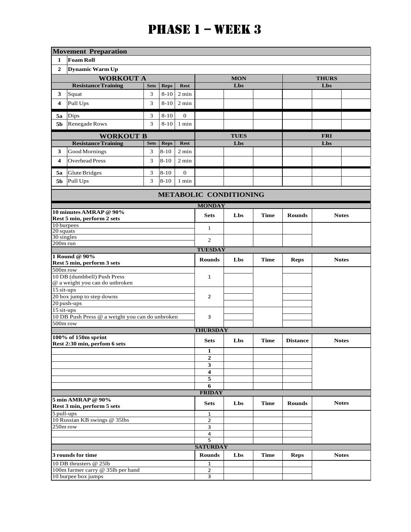|                            | <b>Movement Preparation</b>                                 |             |               |                 |                                |             |              |                 |              |  |  |
|----------------------------|-------------------------------------------------------------|-------------|---------------|-----------------|--------------------------------|-------------|--------------|-----------------|--------------|--|--|
| 1                          | <b>Foam Roll</b>                                            |             |               |                 |                                |             |              |                 |              |  |  |
| $\mathbf{2}$               | <b>Dynamic Warm Up</b>                                      |             |               |                 |                                |             |              |                 |              |  |  |
|                            | <b>WORKOUT A</b>                                            |             |               |                 |                                | <b>MON</b>  |              |                 | <b>THURS</b> |  |  |
|                            | <b>Resistance Training</b>                                  | <b>Sets</b> | <b>Reps</b>   | <b>Rest</b>     |                                | Lbs         |              |                 | Lbs          |  |  |
| 3                          | Squat                                                       | 3           | $8 - 10$      | $2 \text{ min}$ |                                |             |              |                 |              |  |  |
| $\overline{\mathbf{4}}$    | Pull Ups                                                    | 3           | $8 - 10$      | 2 min           |                                |             |              |                 |              |  |  |
|                            |                                                             |             |               |                 |                                |             |              |                 |              |  |  |
| 5a                         | Dips                                                        | 3           | $8-10$        | $\theta$        |                                |             |              |                 |              |  |  |
| 5b                         | Renegade Rows                                               | 3           | $8 - 10$      | 1 min           |                                |             |              |                 |              |  |  |
|                            | <b>WORKOUT B</b>                                            |             |               |                 |                                | <b>TUES</b> |              |                 | <b>FRI</b>   |  |  |
|                            | <b>Resistance Training</b>                                  | <b>Sets</b> | <b>Reps</b>   | <b>Rest</b>     |                                | Lbs         |              |                 | Lbs          |  |  |
| 3                          | Good Mornings                                               | 3           | $8 - 10$      | 2 min           |                                |             |              |                 |              |  |  |
| 4                          | <b>Overhead Press</b>                                       | 3           | $8 - 10$      | 2 min           |                                |             |              |                 |              |  |  |
| 5a                         | Glute Bridges                                               | 3           | $8 - 10$      | $\mathbf{0}$    |                                |             |              |                 |              |  |  |
| 5b                         | Pull Ups                                                    | 3           | $8 - 10$      | 1 min           |                                |             |              |                 |              |  |  |
|                            | <b>METABOLIC CONDITIONING</b>                               |             |               |                 |                                |             |              |                 |              |  |  |
|                            |                                                             |             |               |                 | <b>MONDAY</b>                  |             |              |                 |              |  |  |
|                            | 10 minutes AMRAP @ 90%<br>Rest 5 min, perform 2 sets        |             |               |                 | <b>Sets</b>                    | Lbs         | <b>Time</b>  | <b>Rounds</b>   | <b>Notes</b> |  |  |
| 10 burpees<br>20 squats    |                                                             |             |               |                 | 1                              |             |              |                 |              |  |  |
| 30 singles                 |                                                             |             | 2             |                 |                                |             |              |                 |              |  |  |
| 200m run                   |                                                             |             |               |                 | <b>TUESDAY</b>                 |             |              |                 |              |  |  |
|                            | 1 Round @ 90%                                               |             |               |                 |                                |             |              |                 |              |  |  |
| Rest 5 min, perform 3 sets |                                                             |             |               |                 | <b>Rounds</b>                  | Lbs         | Time         | <b>Reps</b>     | <b>Notes</b> |  |  |
| 500m row                   | 10 DB (dumbbell) Push Press                                 |             |               |                 |                                |             |              |                 |              |  |  |
|                            | @ a weight you can do unbroken                              |             |               |                 | $\mathbf{1}$                   |             |              |                 |              |  |  |
| 15 sit-ups                 |                                                             |             |               |                 |                                |             |              |                 |              |  |  |
|                            | 20 box jump to step downs                                   |             |               |                 | $\overline{2}$                 |             |              |                 |              |  |  |
| 15 sit-ups                 | 20 push-ups                                                 |             |               |                 |                                |             |              |                 |              |  |  |
|                            | 10 DB Push Press @ a weight you can do unbroken             |             |               |                 | 3                              |             |              |                 |              |  |  |
| 500m row                   |                                                             |             |               |                 |                                |             |              |                 |              |  |  |
|                            |                                                             |             |               |                 | <b>THURSDAY</b>                |             |              |                 |              |  |  |
|                            | 100% of 150m sprint<br>Rest 2:30 min, perfom 6 sets         |             |               |                 | <b>Sets</b>                    | Lbs         | Time         | <b>Distance</b> | <b>Notes</b> |  |  |
|                            |                                                             |             |               |                 | 1                              |             |              |                 |              |  |  |
|                            |                                                             |             |               |                 | $\mathbf{2}$                   |             |              |                 |              |  |  |
|                            |                                                             |             |               |                 | 3                              |             |              |                 |              |  |  |
|                            |                                                             |             |               |                 | $\overline{\mathbf{4}}$        |             |              |                 |              |  |  |
|                            |                                                             |             |               |                 | 5<br>6                         |             |              |                 |              |  |  |
|                            |                                                             |             |               |                 | <b>FRIDAY</b>                  |             |              |                 |              |  |  |
|                            | 5 min AMRAP @ 90%                                           |             |               |                 | <b>Sets</b>                    | Lbs         | <b>Time</b>  | <b>Rounds</b>   | <b>Notes</b> |  |  |
|                            | Rest 3 min, perform 5 sets                                  |             |               |                 |                                |             |              |                 |              |  |  |
| 5 pull-ups                 |                                                             |             |               |                 | 1<br>$\overline{2}$            |             |              |                 |              |  |  |
|                            | 10 Russian KB swings @ 35lbs<br>250m row                    |             |               |                 | 3                              |             |              |                 |              |  |  |
|                            |                                                             |             |               |                 |                                |             |              |                 |              |  |  |
|                            |                                                             |             |               |                 | 5                              |             |              |                 |              |  |  |
|                            |                                                             |             |               |                 | <b>SATURDAY</b>                |             |              |                 |              |  |  |
|                            | 3 rounds for time                                           |             | <b>Rounds</b> | Lbs             | <b>Time</b>                    | <b>Reps</b> | <b>Notes</b> |                 |              |  |  |
|                            | 10 DB thrusters @ 251b<br>100m farmer carry @ 35lb per hand |             |               |                 | $\mathbf{1}$<br>$\overline{2}$ |             |              |                 |              |  |  |
|                            | 10 burpee box jumps                                         |             |               |                 | $\overline{3}$                 |             |              |                 |              |  |  |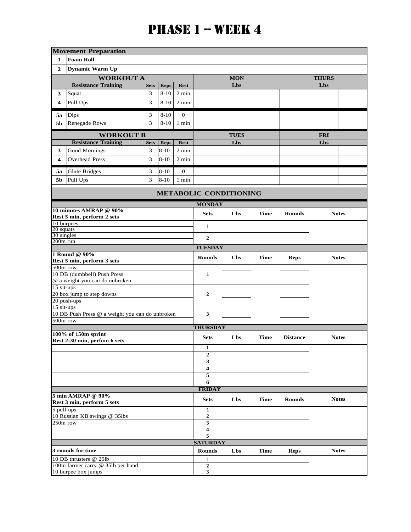|                         | <b>Movement Preparation</b>                          |             |                     |                 |                               |             |             |                 |              |              |
|-------------------------|------------------------------------------------------|-------------|---------------------|-----------------|-------------------------------|-------------|-------------|-----------------|--------------|--------------|
| 1                       | <b>Foam Roll</b>                                     |             |                     |                 |                               |             |             |                 |              |              |
| $\mathbf{2}$            | Dynamic Warm Up                                      |             |                     |                 |                               |             |             |                 |              |              |
|                         | <b>WORKOUT A</b>                                     |             |                     |                 |                               | <b>MON</b>  |             |                 | <b>THURS</b> |              |
|                         | <b>Resistance Training</b>                           | <b>Sets</b> | <b>Reps</b>         | <b>Rest</b>     |                               | Lbs         |             |                 | Lbs          |              |
| 3                       | Squat                                                | 3           | $8 - 10$            | 2 min           |                               |             |             |                 |              |              |
| 4                       | Pull Ups                                             | 3           | $8 - 10$            | $2 \text{ min}$ |                               |             |             |                 |              |              |
|                         |                                                      |             |                     |                 |                               |             |             |                 |              |              |
| 5a                      | Dips                                                 | 3           | $8 - 10$            | $\mathbf{0}$    |                               |             |             |                 |              |              |
| 5b                      | Renegade Rows                                        | 3           | $8 - 10$            | 1 min           |                               |             |             |                 |              |              |
|                         | <b>WORKOUT B</b>                                     |             |                     |                 |                               | <b>TUES</b> |             |                 | <b>FRI</b>   |              |
|                         | <b>Resistance Training</b>                           | <b>Sets</b> | <b>Reps</b>         | <b>Rest</b>     |                               | Lbs         |             |                 | Lbs          |              |
| 3                       | Good Mornings                                        | 3           | $8 - 10$            | 2 min           |                               |             |             |                 |              |              |
| 4                       | <b>Overhead Press</b>                                | 3           | $8 - 10$            | 2 min           |                               |             |             |                 |              |              |
| 5a                      | <b>Glute Bridges</b>                                 | 3           | $8 - 10$            | $\mathbf{0}$    |                               |             |             |                 |              |              |
| 5b                      | Pull Ups                                             | 3           | $8 - 10$            | 1 min           |                               |             |             |                 |              |              |
|                         |                                                      |             |                     |                 | <b>METABOLIC CONDITIONING</b> |             |             |                 |              |              |
|                         |                                                      |             |                     |                 | <b>MONDAY</b>                 |             |             |                 |              |              |
|                         | 10 minutes AMRAP @ 90%<br>Rest 5 min, perform 2 sets |             |                     |                 | <b>Sets</b>                   | Lbs         | <b>Time</b> | <b>Rounds</b>   |              | <b>Notes</b> |
| 10 burpees              |                                                      |             |                     |                 | $\mathbf{1}$                  |             |             |                 |              |              |
| 20 squats<br>30 singles |                                                      |             |                     |                 |                               |             |             |                 |              |              |
| 200m run                |                                                      |             |                     |                 | 2                             |             |             |                 |              |              |
|                         |                                                      |             |                     |                 | <b>TUESDAY</b>                |             |             |                 |              |              |
|                         | 1 Round @ 90%<br>Rest 5 min, perform 3 sets          |             |                     |                 | <b>Rounds</b>                 | Lbs         | <b>Time</b> | <b>Reps</b>     |              | <b>Notes</b> |
| 500m row                |                                                      |             |                     |                 |                               |             |             |                 |              |              |
|                         | 10 DB (dumbbell) Push Press                          |             |                     |                 | 1                             |             |             |                 |              |              |
|                         | @ a weight you can do unbroken                       |             |                     |                 |                               |             |             |                 |              |              |
| 15 sit-ups              | 20 box jump to step downs                            |             |                     |                 | $\overline{2}$                |             |             |                 |              |              |
|                         | 20 push-ups                                          |             |                     |                 |                               |             |             |                 |              |              |
| 15 sit-ups              |                                                      |             |                     |                 |                               |             |             |                 |              |              |
| 500m row                | 10 DB Push Press @ a weight you can do unbroken      |             |                     |                 | 3                             |             |             |                 |              |              |
|                         |                                                      |             |                     |                 | <b>THURSDAY</b>               |             |             |                 |              |              |
|                         | 100% of 150m sprint                                  |             |                     |                 |                               |             |             |                 |              |              |
|                         | Rest 2:30 min, perfom 6 sets                         |             |                     |                 | <b>Sets</b>                   | Lbs         | <b>Time</b> | <b>Distance</b> |              | <b>Notes</b> |
|                         |                                                      |             |                     |                 | $\mathbf{1}$                  |             |             |                 |              |              |
|                         |                                                      |             |                     |                 | $\overline{2}$<br>3           |             |             |                 |              |              |
|                         |                                                      |             |                     |                 | $\overline{\mathbf{4}}$       |             |             |                 |              |              |
|                         |                                                      |             |                     |                 | 5                             |             |             |                 |              |              |
|                         |                                                      |             |                     |                 | 6                             |             |             |                 |              |              |
|                         |                                                      |             |                     |                 | <b>FRIDAY</b>                 |             |             |                 |              |              |
|                         | 5 min AMRAP @ 90%<br>Rest 3 min, perform 5 sets      |             |                     |                 | <b>Sets</b>                   | Lbs         | <b>Time</b> | <b>Rounds</b>   |              | <b>Notes</b> |
| 5 pull-ups              |                                                      |             |                     |                 | 1                             |             |             |                 |              |              |
|                         | 10 Russian KB swings @ 35lbs                         |             |                     |                 | $\overline{2}$<br>3           |             |             |                 |              |              |
|                         | 250m row                                             |             |                     |                 |                               |             |             |                 |              |              |
|                         |                                                      |             | $\overline{4}$<br>5 |                 |                               |             |             |                 |              |              |
|                         |                                                      |             |                     |                 | <b>SATURDAY</b>               |             |             |                 |              |              |
| 3 rounds for time       |                                                      |             |                     |                 | <b>Rounds</b>                 | Lbs         | <b>Time</b> | <b>Reps</b>     |              | <b>Notes</b> |
|                         | 10 DB thrusters @ 25lb                               |             |                     |                 | 1                             |             |             |                 |              |              |
|                         | 100m farmer carry @ 35lb per hand                    |             |                     |                 | 2<br>$\overline{3}$           |             |             |                 |              |              |
|                         | 10 burpee box jumps                                  |             |                     |                 |                               |             |             |                 |              |              |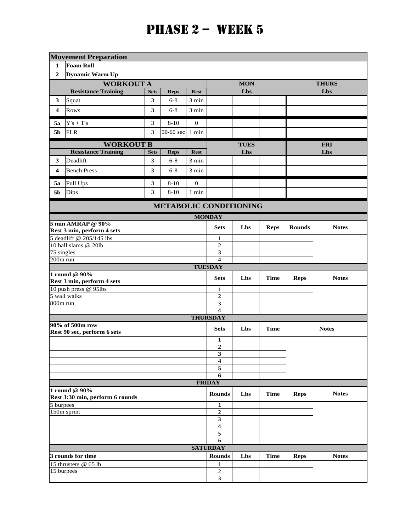|                   | <b>Movement Preparation</b>                                   |                |             |                |                     |             |             |               |              |  |
|-------------------|---------------------------------------------------------------|----------------|-------------|----------------|---------------------|-------------|-------------|---------------|--------------|--|
| 1                 | <b>Foam Roll</b>                                              |                |             |                |                     |             |             |               |              |  |
| $\mathbf{2}$      | <b>Dynamic Warm Up</b>                                        |                |             |                |                     |             |             |               |              |  |
|                   | <b>WORKOUT A</b>                                              |                |             |                |                     | <b>MON</b>  |             |               | <b>THURS</b> |  |
|                   | <b>Resistance Training</b>                                    | <b>Sets</b>    | <b>Reps</b> | <b>Rest</b>    |                     | Lbs         |             |               | Lbs          |  |
| 3                 | Squat                                                         | 3              | $6 - 8$     | 3 min          |                     |             |             |               |              |  |
| 4                 | <b>Rows</b>                                                   | $\mathfrak{Z}$ | $6 - 8$     | 3 min          |                     |             |             |               |              |  |
| 5a                | $\mathbf{Y}^{\prime}\mathbf{s}+\mathbf{T}^{\prime}\mathbf{s}$ | 3              | $8 - 10$    | $\mathbf{0}$   |                     |             |             |               |              |  |
| 5 <sub>b</sub>    | <b>FLR</b>                                                    | 3              | 30-60 sec   | 1 min          |                     |             |             |               |              |  |
|                   | <b>WORKOUT B</b>                                              |                |             |                |                     | <b>TUES</b> |             |               | <b>FRI</b>   |  |
|                   | <b>Resistance Training</b>                                    | <b>Sets</b>    | <b>Reps</b> | <b>Rest</b>    |                     | Lbs         |             |               | Lbs          |  |
| 3                 | Deadlift                                                      | 3              | $6 - 8$     | 3 min          |                     |             |             |               |              |  |
| 4                 | <b>Bench Press</b>                                            | 3              | $6 - 8$     | 3 min          |                     |             |             |               |              |  |
| 5a                | Pull Ups                                                      | $\mathfrak{Z}$ | $8 - 10$    | $\mathbf{0}$   |                     |             |             |               |              |  |
| 5b                | Dips                                                          | 3              | $8 - 10$    | 1 min          |                     |             |             |               |              |  |
|                   | <b>METABOLIC CONDITIONING</b>                                 |                |             |                |                     |             |             |               |              |  |
| <b>MONDAY</b>     |                                                               |                |             |                |                     |             |             |               |              |  |
|                   | 5 min AMRAP @ 90%                                             |                |             |                | <b>Sets</b>         | Lbs         | <b>Reps</b> | <b>Rounds</b> | <b>Notes</b> |  |
|                   | Rest 3 min, perform 4 sets                                    |                |             |                |                     |             |             |               |              |  |
|                   | 5 deadlift @ 205/145 lbs<br>10 ball slams @ 20lb              |                |             |                | 1<br>$\mathfrak{2}$ |             |             |               |              |  |
| 75 singles        |                                                               |                | 3           |                |                     |             |             |               |              |  |
| $200m$ run        |                                                               |                |             | $\overline{4}$ |                     |             |             |               |              |  |
|                   |                                                               |                |             |                | <b>TUESDAY</b>      |             |             |               |              |  |
|                   | 1 round @ 90%<br>Rest 3 min, perform 4 sets                   |                |             |                | <b>Sets</b>         | Lbs         | <b>Time</b> | <b>Reps</b>   | <b>Notes</b> |  |
|                   | 10 push press @ 95lbs<br>5 wall walks                         |                |             |                | 1                   |             |             |               |              |  |
| 800m run          |                                                               |                |             |                | $\overline{2}$      |             |             |               |              |  |
|                   |                                                               |                |             |                | 3<br>4              |             |             |               |              |  |
|                   |                                                               |                |             |                | <b>THURSDAY</b>     |             |             |               |              |  |
|                   | 90% of 500m row<br>Rest 90 sec, perform 6 sets                |                |             |                | <b>Sets</b>         | Lbs         | <b>Time</b> |               | <b>Notes</b> |  |
|                   |                                                               |                |             |                | 1                   |             |             |               |              |  |
|                   |                                                               |                |             |                | $\overline{2}$      |             |             |               |              |  |
|                   |                                                               |                |             |                | 3                   |             |             |               |              |  |
|                   |                                                               |                |             |                | 4<br>5              |             |             |               |              |  |
|                   |                                                               |                |             |                | 6                   |             |             |               |              |  |
|                   |                                                               |                |             |                | <b>FRIDAY</b>       |             |             |               |              |  |
|                   | 1 round @ 90%<br>Rest 3:30 min, perform 6 rounds              |                |             |                | <b>Rounds</b>       | Lbs         | <b>Time</b> | <b>Reps</b>   | <b>Notes</b> |  |
| 5 burpees         |                                                               |                |             |                | $\mathbf 1$         |             |             |               |              |  |
|                   | 150m sprint                                                   |                |             |                | $\overline{2}$      |             |             |               |              |  |
|                   |                                                               |                |             |                | 3                   |             |             |               |              |  |
|                   |                                                               |                |             |                | 4<br>5              |             |             |               |              |  |
|                   |                                                               |                |             |                | 6                   |             |             |               |              |  |
|                   |                                                               |                |             |                | <b>SATURDAY</b>     |             |             |               |              |  |
| 3 rounds for time |                                                               |                |             |                | <b>Rounds</b>       | Lbs         | <b>Time</b> | <b>Reps</b>   | <b>Notes</b> |  |
|                   | 15 thrusters @ 65 lb                                          |                |             |                | $\mathbf{1}$        |             |             |               |              |  |
|                   | 15 burpees                                                    |                |             |                |                     |             |             |               |              |  |
|                   |                                                               |                |             |                | 3                   |             |             |               |              |  |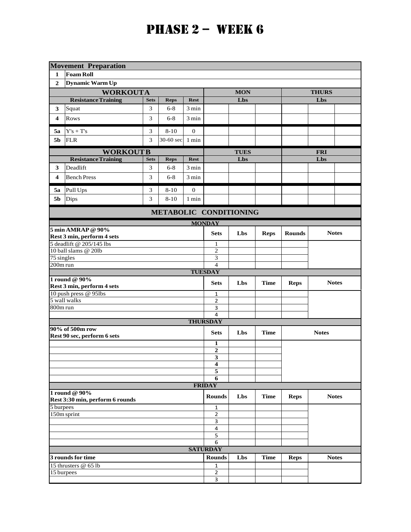|                        | <b>Movement Preparation</b>                                   |             |                     |                  |                              |             |             |               |              |  |
|------------------------|---------------------------------------------------------------|-------------|---------------------|------------------|------------------------------|-------------|-------------|---------------|--------------|--|
| 1                      | <b>Foam Roll</b>                                              |             |                     |                  |                              |             |             |               |              |  |
| $\boldsymbol{2}$       | Dynamic Warm Up                                               |             |                     |                  |                              |             |             |               |              |  |
|                        | <b>WORKOUTA</b>                                               |             |                     |                  |                              | <b>MON</b>  |             |               | <b>THURS</b> |  |
|                        | <b>Resistance Training</b>                                    | <b>Sets</b> | <b>Reps</b>         | <b>Rest</b>      |                              | Lbs         |             |               | Lbs          |  |
| 3                      | Squat                                                         | 3           | $6 - 8$             | $3 \text{ min}$  |                              |             |             |               |              |  |
| 4                      | Rows                                                          | 3           | $6 - 8$             | 3 min            |                              |             |             |               |              |  |
| 5a                     | $\mathbf{Y}^{\prime}\mathbf{s}+\mathbf{T}^{\prime}\mathbf{s}$ | 3           | $8 - 10$            | $\theta$         |                              |             |             |               |              |  |
| 5 <sub>b</sub>         | <b>FLR</b>                                                    | 3           | 30-60 sec           | 1 min            |                              |             |             |               |              |  |
|                        | <b>WORKOUTB</b>                                               |             |                     |                  |                              | <b>TUES</b> |             | <b>FRI</b>    |              |  |
|                        | <b>Resistance Training</b>                                    | <b>Sets</b> | <b>Reps</b>         | <b>Rest</b>      |                              | Lbs         |             |               | Lbs          |  |
| 3                      | Deadlift                                                      | 3           | $6 - 8$             | 3 min            |                              |             |             |               |              |  |
| 4                      | <b>Bench Press</b>                                            | 3           | $6 - 8$             | 3 min            |                              |             |             |               |              |  |
| 5a                     | Pull Ups                                                      | 3           | $8 - 10$            | $\boldsymbol{0}$ |                              |             |             |               |              |  |
| 5b                     | <b>Dips</b>                                                   | 3           | $8 - 10$            | $1$ min          |                              |             |             |               |              |  |
|                        | METABOLIC CONDITIONING                                        |             |                     |                  |                              |             |             |               |              |  |
|                        |                                                               |             |                     |                  | <b>MONDAY</b>                |             |             |               |              |  |
|                        | 5 min AMRAP @ 90%<br>Rest 3 min, perform 4 sets               |             |                     |                  | <b>Sets</b>                  | Lbs         | <b>Reps</b> | <b>Rounds</b> | <b>Notes</b> |  |
|                        | 5 deadlift @ 205/145 lbs                                      |             |                     |                  | $\mathbf{1}$                 |             |             |               |              |  |
|                        | 10 ball slams @ 20lb                                          |             |                     |                  | $\overline{2}$               |             |             |               |              |  |
| 75 singles<br>200m run |                                                               |             | 3<br>$\overline{4}$ |                  |                              |             |             |               |              |  |
|                        | <b>TUESDAY</b>                                                |             |                     |                  |                              |             |             |               |              |  |
|                        | $1$ round $@90\%$<br>Rest 3 min, perform 4 sets               |             |                     |                  | <b>Sets</b>                  | Lbs         | <b>Time</b> | <b>Reps</b>   | <b>Notes</b> |  |
|                        | 10 push press @ 95lbs                                         |             |                     |                  | 1                            |             |             |               |              |  |
|                        | 5 wall walks                                                  |             |                     |                  | $\overline{2}$               |             |             |               |              |  |
| 800m run               |                                                               |             |                     |                  | 3<br>4                       |             |             |               |              |  |
|                        |                                                               |             |                     |                  | <b>THURSDAY</b>              |             |             |               |              |  |
|                        | 90% of 500m row<br>Rest 90 sec, perform 6 sets                |             |                     |                  | <b>Sets</b>                  | Lbs         | <b>Time</b> |               | <b>Notes</b> |  |
|                        |                                                               |             |                     |                  | 1                            |             |             |               |              |  |
|                        |                                                               |             |                     |                  | $\boldsymbol{2}$             |             |             |               |              |  |
|                        |                                                               |             |                     |                  | $\mathbf{3}$                 |             |             |               |              |  |
|                        |                                                               |             |                     |                  | 4<br>5                       |             |             |               |              |  |
|                        |                                                               |             |                     |                  | 6                            |             |             |               |              |  |
|                        |                                                               |             |                     |                  | <b>FRIDAY</b>                |             |             |               |              |  |
|                        | 1 round @ 90%<br>Rest 3:30 min, perform 6 rounds              |             |                     |                  | <b>Rounds</b>                | Lbs         | <b>Time</b> | <b>Reps</b>   | <b>Notes</b> |  |
| 5 burpees              |                                                               |             |                     |                  | $\mathbf{1}$                 |             |             |               |              |  |
|                        | 150m sprint                                                   |             | $\mathbf 2$         |                  |                              |             |             |               |              |  |
|                        |                                                               |             |                     |                  | 3<br>$\overline{\mathbf{4}}$ |             |             |               |              |  |
|                        |                                                               |             |                     |                  | 5                            |             |             |               |              |  |
|                        |                                                               |             |                     |                  | 6                            |             |             |               |              |  |
|                        |                                                               |             |                     |                  | <b>SATURDAY</b>              |             |             |               |              |  |
|                        | 3 rounds for time                                             |             |                     |                  | <b>Rounds</b>                | Lbs         | <b>Time</b> | <b>Reps</b>   | <b>Notes</b> |  |
|                        | 15 thrusters @ 65 lb                                          |             |                     |                  | $\mathbf{1}$<br>$\mathbf 2$  |             |             |               |              |  |
|                        | 15 burpees                                                    |             |                     |                  |                              |             |             |               |              |  |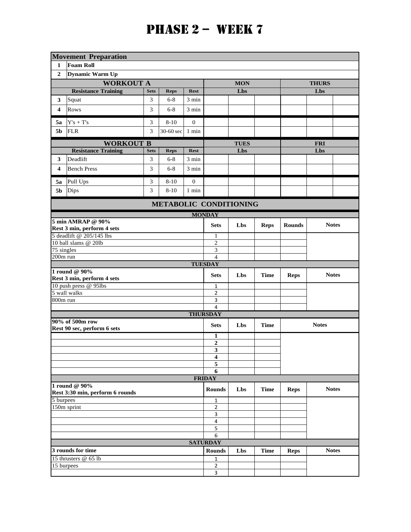|                         | <b>Movement Preparation</b>                                   |             |                |                  |                         |                               |             |               |              |              |  |
|-------------------------|---------------------------------------------------------------|-------------|----------------|------------------|-------------------------|-------------------------------|-------------|---------------|--------------|--------------|--|
| 1                       | <b>Foam Roll</b>                                              |             |                |                  |                         |                               |             |               |              |              |  |
| $\overline{2}$          | Dynamic Warm Up                                               |             |                |                  |                         |                               |             |               |              |              |  |
|                         | <b>WORKOUT A</b>                                              |             |                |                  |                         | <b>MON</b>                    |             |               | <b>THURS</b> |              |  |
|                         | <b>Resistance Training</b>                                    | <b>Sets</b> | <b>Reps</b>    | <b>Rest</b>      |                         | Lbs                           |             |               | Lbs          |              |  |
| 3                       | Squat                                                         | 3           | $6 - 8$        | 3 min            |                         |                               |             |               |              |              |  |
| $\overline{\mathbf{4}}$ | <b>Rows</b>                                                   | 3           | $6 - 8$        | 3 min            |                         |                               |             |               |              |              |  |
| 5а                      | $\mathbf{Y}^{\prime}\mathbf{s}+\mathbf{T}^{\prime}\mathbf{s}$ | 3           | $8 - 10$       | $\mathbf{0}$     |                         |                               |             |               |              |              |  |
| 5 <sub>b</sub>          | <b>FLR</b>                                                    | 3           | 30-60 sec      | 1 min            |                         |                               |             |               |              |              |  |
|                         | <b>WORKOUT B</b>                                              |             |                |                  |                         | <b>TUES</b>                   |             | <b>FRI</b>    |              |              |  |
|                         | <b>Resistance Training</b>                                    | <b>Sets</b> | <b>Reps</b>    | <b>Rest</b>      |                         | Lbs                           |             |               | Lbs          |              |  |
| 3                       | Deadlift                                                      | 3           | $6 - 8$        | 3 min            |                         |                               |             |               |              |              |  |
| 4                       | <b>Bench Press</b>                                            | 3           | $6 - 8$        | 3 min            |                         |                               |             |               |              |              |  |
| 5a                      | Pull Ups                                                      | 3           | $8 - 10$       | $\boldsymbol{0}$ |                         |                               |             |               |              |              |  |
| 5 <sub>b</sub>          | Dips                                                          | 3           | $8 - 10$       | 1 min            |                         |                               |             |               |              |              |  |
|                         |                                                               |             |                |                  |                         | <b>METABOLIC CONDITIONING</b> |             |               |              |              |  |
|                         |                                                               |             |                |                  | <b>MONDAY</b>           |                               |             |               |              |              |  |
|                         | 5 min AMRAP @ 90%                                             |             |                |                  | <b>Sets</b>             | Lbs                           | <b>Reps</b> | <b>Rounds</b> |              | <b>Notes</b> |  |
|                         | Rest 3 min, perform 4 sets<br>5 deadlift @ 205/145 lbs        |             | $\mathbf{1}$   |                  |                         |                               |             |               |              |              |  |
|                         | 10 ball slams @ 20lb                                          |             | $\overline{c}$ |                  |                         |                               |             |               |              |              |  |
| $75$ singles            |                                                               |             | 3              |                  |                         |                               |             |               |              |              |  |
| 200m run                |                                                               |             |                |                  | $\overline{4}$          |                               |             |               |              |              |  |
|                         |                                                               |             |                |                  | <b>TUESDAY</b>          |                               |             |               |              |              |  |
|                         | 1 round $@90\%$<br>Rest 3 min, perform 4 sets                 |             |                |                  | <b>Sets</b>             | Lbs                           | <b>Time</b> | <b>Reps</b>   |              | <b>Notes</b> |  |
|                         | 10 push press @ 95lbs                                         |             |                |                  | 1                       |                               |             |               |              |              |  |
|                         | 5 wall walks                                                  |             |                |                  | $\overline{2}$          |                               |             |               |              |              |  |
| 800m run                |                                                               |             |                |                  | 3<br>$\overline{4}$     |                               |             |               |              |              |  |
|                         |                                                               |             |                |                  | <b>THURSDAY</b>         |                               |             |               |              |              |  |
|                         | 90% of 500m row<br>Rest 90 sec, perform 6 sets                |             |                |                  | <b>Sets</b>             | Lbs                           | <b>Time</b> |               | <b>Notes</b> |              |  |
|                         |                                                               |             |                |                  | 1                       |                               |             |               |              |              |  |
|                         |                                                               |             |                |                  | $\boldsymbol{2}$        |                               |             |               |              |              |  |
|                         |                                                               |             |                |                  | $\overline{\mathbf{3}}$ |                               |             |               |              |              |  |
|                         |                                                               |             |                |                  | 4<br>5                  |                               |             |               |              |              |  |
|                         |                                                               |             |                |                  | 6                       |                               |             |               |              |              |  |
|                         |                                                               |             |                |                  | <b>FRIDAY</b>           |                               |             |               |              |              |  |
|                         | 1 round @ 90%<br>Rest 3:30 min, perform 6 rounds              |             |                |                  | <b>Rounds</b>           | Lbs                           | <b>Time</b> | <b>Reps</b>   |              | <b>Notes</b> |  |
| 5 burpees               |                                                               |             | 1              |                  |                         |                               |             |               |              |              |  |
|                         | 150m sprint                                                   |             | $\overline{2}$ |                  |                         |                               |             |               |              |              |  |
|                         |                                                               |             |                |                  | 3<br>4                  |                               |             |               |              |              |  |
|                         |                                                               |             |                |                  | 5                       |                               |             |               |              |              |  |
|                         |                                                               |             |                |                  | 6                       |                               |             |               |              |              |  |
|                         |                                                               |             |                |                  | <b>SATURDAY</b>         |                               |             |               |              |              |  |
|                         | 3 rounds for time                                             |             |                |                  | <b>Rounds</b>           | Lbs                           | <b>Time</b> | <b>Reps</b>   |              | <b>Notes</b> |  |
|                         | 15 thrusters @ 65 lb                                          |             |                |                  | 1<br>$\overline{2}$     |                               |             |               |              |              |  |
|                         | 15 burpees                                                    |             |                |                  |                         |                               |             |               |              |              |  |
|                         |                                                               |             |                |                  | 3                       |                               |             |               |              |              |  |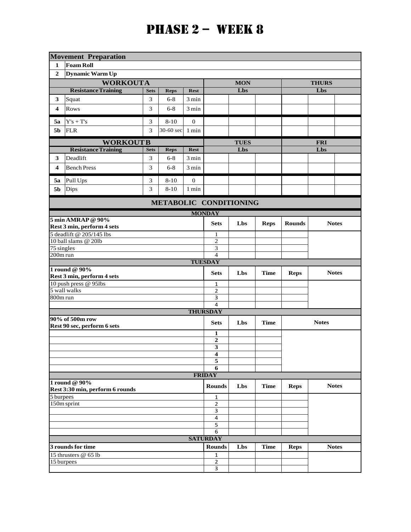|                  | <b>Movement Preparation</b>                                   |             |                         |                     |                     |             |             |               |              |  |
|------------------|---------------------------------------------------------------|-------------|-------------------------|---------------------|---------------------|-------------|-------------|---------------|--------------|--|
| 1                | <b>Foam Roll</b>                                              |             |                         |                     |                     |             |             |               |              |  |
| $\boldsymbol{2}$ | <b>Dynamic Warm Up</b>                                        |             |                         |                     |                     |             |             |               |              |  |
|                  | <b>WORKOUTA</b>                                               |             |                         |                     |                     | <b>MON</b>  |             |               | <b>THURS</b> |  |
|                  | <b>Resistance Training</b>                                    | <b>Sets</b> | <b>Reps</b>             | <b>Rest</b>         |                     | Lbs         |             |               | Lbs          |  |
| 3                | Squat                                                         | 3           | $6 - 8$                 | $3\,\mathrm{min}$   |                     |             |             |               |              |  |
| 4                | Rows                                                          | 3           | $6 - 8$                 | 3 min               |                     |             |             |               |              |  |
| 5а               | $\mathbf{Y}^{\prime}\mathbf{s}+\mathbf{T}^{\prime}\mathbf{s}$ | 3           | $8 - 10$                | $\mathbf{0}$        |                     |             |             |               |              |  |
| 5 <sub>b</sub>   | <b>FLR</b>                                                    | 3           | 30-60 sec               | $1 \ \mathrm{min}$  |                     |             |             |               |              |  |
|                  | <b>WORKOUTB</b>                                               |             |                         |                     |                     | <b>TUES</b> |             |               | <b>FRI</b>   |  |
|                  | <b>Resistance Training</b>                                    | <b>Sets</b> | <b>Reps</b>             | <b>Rest</b>         |                     | Lbs         |             |               | Lbs          |  |
| 3                | Deadlift                                                      | 3           | $6 - 8$                 | 3 min               |                     |             |             |               |              |  |
| 4                | <b>Bench Press</b>                                            | 3           | $6 - 8$                 | 3 min               |                     |             |             |               |              |  |
| 5а               | Pull Ups                                                      | 3           | $8 - 10$                | $\overline{0}$      |                     |             |             |               |              |  |
| 5b               | Dips                                                          | 3           | $8 - 10$                | 1 min               |                     |             |             |               |              |  |
|                  | METABOLIC CONDITIONING                                        |             |                         |                     |                     |             |             |               |              |  |
| <b>MONDAY</b>    |                                                               |             |                         |                     |                     |             |             |               |              |  |
|                  | 5 min AMRAP @ 90%                                             |             |                         |                     | <b>Sets</b>         | Lbs         | <b>Reps</b> | <b>Rounds</b> | <b>Notes</b> |  |
|                  | Rest 3 min, perform 4 sets                                    |             |                         |                     |                     |             |             |               |              |  |
|                  | 5 deadlift @ 205/145 lbs<br>10 ball slams @ 20lb              |             |                         | 1<br>$\overline{2}$ |                     |             |             |               |              |  |
| 75 singles       |                                                               |             | $\overline{\mathbf{3}}$ |                     |                     |             |             |               |              |  |
| 200m run         |                                                               |             | $\overline{4}$          |                     |                     |             |             |               |              |  |
|                  |                                                               |             |                         |                     | <b>TUESDAY</b>      |             |             |               |              |  |
|                  | 1 round @ 90%<br>Rest 3 min, perform 4 sets                   |             |                         |                     | <b>Sets</b>         | Lbs         | <b>Time</b> | <b>Reps</b>   | <b>Notes</b> |  |
|                  | 10 push press @ 95lbs                                         |             |                         |                     | $\mathbf{1}$        |             |             |               |              |  |
|                  | 5 wall walks                                                  |             |                         |                     | 2                   |             |             |               |              |  |
| 800m run         |                                                               |             |                         |                     | 3<br>$\overline{4}$ |             |             |               |              |  |
|                  |                                                               |             |                         |                     | <b>THURSDAY</b>     |             |             |               |              |  |
|                  | 90% of 500m row<br>Rest 90 sec, perform 6 sets                |             |                         |                     | <b>Sets</b>         | Lbs         | <b>Time</b> |               | <b>Notes</b> |  |
|                  |                                                               |             |                         |                     | $\mathbf{1}$        |             |             |               |              |  |
|                  |                                                               |             |                         |                     | $\overline{2}$      |             |             |               |              |  |
|                  |                                                               |             |                         |                     | 3                   |             |             |               |              |  |
|                  |                                                               |             |                         |                     | 4<br>5              |             |             |               |              |  |
|                  |                                                               |             |                         |                     | 6                   |             |             |               |              |  |
|                  |                                                               |             |                         |                     | <b>FRIDAY</b>       |             |             |               |              |  |
|                  | 1 round @ 90%<br>Rest 3:30 min, perform 6 rounds              |             |                         |                     | <b>Rounds</b>       | Lbs         | <b>Time</b> | <b>Reps</b>   | <b>Notes</b> |  |
| 5 burpees        |                                                               |             |                         |                     | $\mathbf{1}$        |             |             |               |              |  |
|                  | $150m$ sprint                                                 |             |                         |                     | $\mathbf{2}$        |             |             |               |              |  |
|                  |                                                               |             |                         |                     | 3                   |             |             |               |              |  |
|                  |                                                               |             |                         |                     | $\overline{4}$<br>5 |             |             |               |              |  |
|                  |                                                               |             |                         |                     | 6                   |             |             |               |              |  |
|                  |                                                               |             |                         |                     | <b>SATURDAY</b>     |             |             |               |              |  |
|                  | 3 rounds for time                                             |             |                         |                     | <b>Rounds</b>       | Lbs         | <b>Time</b> | <b>Reps</b>   | <b>Notes</b> |  |
|                  | 15 thrusters $@$ 65 lb                                        |             |                         |                     | 1                   |             |             |               |              |  |
| 15 burpees       |                                                               |             | $\mathbf 2$             |                     |                     |             |             |               |              |  |
|                  |                                                               |             |                         |                     | $\overline{3}$      |             |             |               |              |  |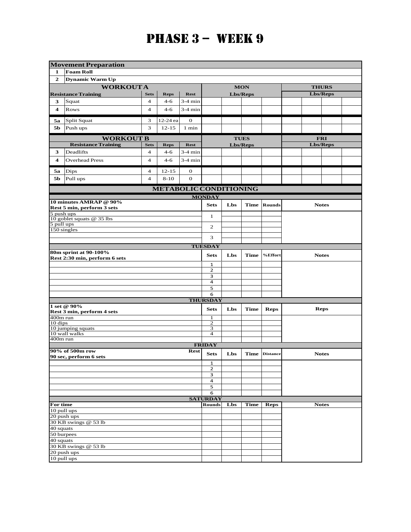### **PHASE**  $3 - WEEK<sub>9</sub>$

|                         | <b>Movement Preparation</b>                            |                |                               |              |                         |     |                 |                 |  |                 |  |
|-------------------------|--------------------------------------------------------|----------------|-------------------------------|--------------|-------------------------|-----|-----------------|-----------------|--|-----------------|--|
| 1                       | <b>Foam Roll</b>                                       |                |                               |              |                         |     |                 |                 |  |                 |  |
| $\overline{2}$          | <b>Dynamic Warm Up</b>                                 |                |                               |              |                         |     |                 |                 |  |                 |  |
|                         | <b>WORKOUTA</b>                                        |                |                               |              |                         |     | <b>MON</b>      |                 |  | <b>THURS</b>    |  |
|                         | <b>Resistance Training</b>                             | <b>Sets</b>    | <b>Reps</b>                   | <b>Rest</b>  |                         |     | <b>Lbs/Reps</b> |                 |  | <b>Lbs/Reps</b> |  |
| 3                       | Squat                                                  | $\overline{4}$ | $4 - 6$                       | $3-4$ min    |                         |     |                 |                 |  |                 |  |
| $\overline{\mathbf{4}}$ | Rows                                                   | $\overline{4}$ | $4 - 6$                       | 3-4 min      |                         |     |                 |                 |  |                 |  |
| 5a                      | Split Squat                                            | 3              | 12-24 ea                      | $\mathbf 0$  |                         |     |                 |                 |  |                 |  |
| 5b                      | Push ups                                               | 3              | $12 - 15$                     | 1 min        |                         |     |                 |                 |  |                 |  |
|                         | <b>WORKOUT B</b>                                       |                |                               |              |                         |     | <b>TUES</b>     |                 |  | <b>FRI</b>      |  |
|                         | <b>Resistance Training</b>                             | <b>Sets</b>    | <b>Reps</b>                   | <b>Rest</b>  |                         |     | Lbs/Reps        |                 |  | <b>Lbs/Reps</b> |  |
| 3                       | Deadlifts                                              | $\overline{4}$ | $4 - 6$                       | 3-4 min      |                         |     |                 |                 |  |                 |  |
| 4                       | <b>Overhead Press</b>                                  | $\overline{4}$ | $4 - 6$                       | 3-4 min      |                         |     |                 |                 |  |                 |  |
| 5а                      | Dips                                                   | $\overline{4}$ | $12 - 15$                     | $\mathbf{0}$ |                         |     |                 |                 |  |                 |  |
| 5b                      | Pull ups                                               | $\overline{4}$ | $8 - 10$                      | $\mathbf{0}$ |                         |     |                 |                 |  |                 |  |
|                         |                                                        |                | <b>METABOLIC CONDITIONING</b> |              |                         |     |                 |                 |  |                 |  |
|                         |                                                        |                |                               |              | <b>MONDAY</b>           |     |                 |                 |  |                 |  |
|                         | 10 minutes AMRAP @ 90%<br>Rest 5 min, perform 3 sets   |                |                               |              | <b>Sets</b>             | Lbs | <b>Time</b>     | <b>Rounds</b>   |  | <b>Notes</b>    |  |
| 5 push ups              | 10 goblet squats @ 35 lbs                              |                | $\mathbf{1}$                  |              |                         |     |                 |                 |  |                 |  |
| 5 pull ups              |                                                        |                |                               |              | 2                       |     |                 |                 |  |                 |  |
|                         | 150 singles                                            |                |                               |              |                         |     |                 |                 |  |                 |  |
|                         |                                                        |                |                               |              | 3                       |     |                 |                 |  |                 |  |
| <b>TUESDAY</b>          |                                                        |                |                               |              |                         |     |                 |                 |  |                 |  |
|                         | 80m sprint at 90-100%<br>Rest 2:30 min, perform 6 sets |                |                               |              | <b>Sets</b>             | Lbs | <b>Time</b>     | %Effort         |  | <b>Notes</b>    |  |
|                         |                                                        |                |                               |              | $\mathbf{1}$            |     |                 |                 |  |                 |  |
|                         |                                                        |                |                               |              | 2<br>3                  |     |                 |                 |  |                 |  |
|                         |                                                        |                |                               |              | 4                       |     |                 |                 |  |                 |  |
|                         |                                                        |                |                               |              | 5                       |     |                 |                 |  |                 |  |
|                         |                                                        |                |                               |              | 6<br><b>THURSDAY</b>    |     |                 |                 |  |                 |  |
|                         | 1 set @ 90%                                            |                |                               |              | <b>Sets</b>             | Lbs | <b>Time</b>     | <b>Reps</b>     |  | <b>Reps</b>     |  |
| $400m$ run              | Rest 3 min, perform 4 sets                             |                |                               |              | 1                       |     |                 |                 |  |                 |  |
| 10 dips                 |                                                        |                |                               |              | $\overline{2}$          |     |                 |                 |  |                 |  |
|                         | 10 jumping squats<br>10 wall walks                     |                |                               |              | 3<br>4                  |     |                 |                 |  |                 |  |
| 400m run                |                                                        |                |                               |              |                         |     |                 |                 |  |                 |  |
|                         |                                                        |                |                               |              | <b>FRIDAY</b>           |     |                 |                 |  |                 |  |
|                         | 90% of 500m row<br>90 sec, perform 6 sets              |                |                               | <b>Rest</b>  | <b>Sets</b>             | Lbs | Time            | <b>Distance</b> |  | <b>Notes</b>    |  |
|                         |                                                        |                |                               |              | 1                       |     |                 |                 |  |                 |  |
|                         |                                                        |                |                               |              | 2<br>3                  |     |                 |                 |  |                 |  |
|                         |                                                        |                |                               |              | $\overline{\mathbf{4}}$ |     |                 |                 |  |                 |  |
|                         |                                                        |                |                               |              | 5                       |     |                 |                 |  |                 |  |
|                         |                                                        |                |                               |              | 6                       |     |                 |                 |  |                 |  |
| For time                |                                                        |                | <b>SATURDAY</b><br>Rounds     |              |                         |     |                 |                 |  |                 |  |
|                         | 10 pull ups                                            |                |                               |              |                         | Lbs | <b>Time</b>     | <b>Reps</b>     |  | <b>Notes</b>    |  |
|                         | 20 push ups                                            |                |                               |              |                         |     |                 |                 |  |                 |  |
|                         | 30 KB swings @ 53 lb                                   |                |                               |              |                         |     |                 |                 |  |                 |  |
| 40 squats               |                                                        |                |                               |              |                         |     |                 |                 |  |                 |  |
| 50 burpees<br>40 squats |                                                        |                |                               |              |                         |     |                 |                 |  |                 |  |
|                         | 30 KB swings @ 53 lb                                   |                |                               |              |                         |     |                 |                 |  |                 |  |
|                         | 20 push ups                                            |                |                               |              |                         |     |                 |                 |  |                 |  |
|                         | 10 pull ups                                            |                |                               |              |                         |     |                 |                 |  |                 |  |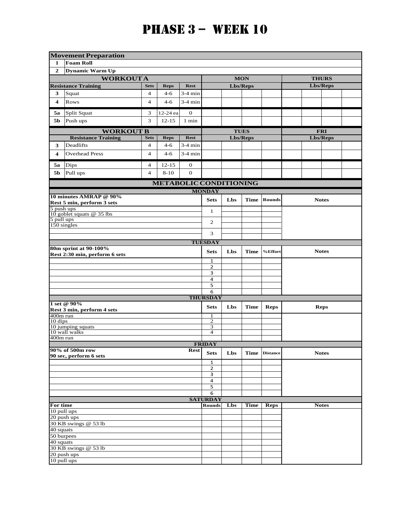|                                                        | <b>Movement Preparation</b>            |                |                               |              |                         |             |               |               |              |             |  |
|--------------------------------------------------------|----------------------------------------|----------------|-------------------------------|--------------|-------------------------|-------------|---------------|---------------|--------------|-------------|--|
| 1                                                      | <b>Foam Roll</b>                       |                |                               |              |                         |             |               |               |              |             |  |
| $\mathbf{2}$                                           | Dynamic Warm Up                        |                |                               |              |                         |             |               |               |              |             |  |
|                                                        | <b>WORKOUTA</b>                        |                |                               |              |                         | <b>MON</b>  |               | <b>THURS</b>  |              |             |  |
|                                                        | <b>Resistance Training</b>             | <b>Sets</b>    | <b>Reps</b>                   | <b>Rest</b>  |                         |             | Lbs/Reps      |               | Lbs/Reps     |             |  |
| 3                                                      | Squat                                  | $\overline{4}$ | $4 - 6$                       | $3-4$ min    |                         |             |               |               |              |             |  |
| 4                                                      | Rows                                   | $\overline{4}$ | $4 - 6$                       | $3-4$ min    |                         |             |               |               |              |             |  |
|                                                        |                                        |                |                               |              |                         |             |               |               |              |             |  |
| 5a                                                     | Split Squat                            | 3              | 12-24 ea                      | $\mathbf{0}$ |                         |             |               |               |              |             |  |
| 5b                                                     | Push ups                               | 3              | $12 - 15$                     | 1 min        |                         |             |               |               |              |             |  |
|                                                        | <b>WORKOUT B</b>                       |                |                               |              |                         |             | <b>TUES</b>   |               | <b>FRI</b>   |             |  |
|                                                        | <b>Resistance Training</b>             | <b>Sets</b>    | <b>Reps</b>                   | <b>Rest</b>  |                         |             | Lbs/Reps      |               | Lbs/Reps     |             |  |
| 3                                                      | Deadlifts                              | $\overline{4}$ | $4 - 6$                       | $3-4$ min    |                         |             |               |               |              |             |  |
| 4                                                      | <b>Overhead Press</b>                  | $\overline{4}$ | $4 - 6$                       | $3-4$ min    |                         |             |               |               |              |             |  |
| 5a                                                     | <b>Dips</b>                            | 4              | $12 - 15$                     | $\bf{0}$     |                         |             |               |               |              |             |  |
| 5b                                                     | Pull ups                               | $\overline{4}$ | $8 - 10$                      | $\mathbf{0}$ |                         |             |               |               |              |             |  |
|                                                        |                                        |                | <b>METABOLIC CONDITIONING</b> |              |                         |             |               |               |              |             |  |
|                                                        |                                        |                |                               |              | <b>MONDAY</b>           |             |               |               |              |             |  |
|                                                        | 10 minutes AMRAP @ 90%                 |                |                               |              | <b>Sets</b>             | Lbs         | <b>Time</b>   | <b>Rounds</b> | <b>Notes</b> |             |  |
|                                                        | Rest 5 min, perform 3 sets             |                |                               |              |                         |             |               |               |              |             |  |
| 5 push ups                                             | 10 goblet squats $@$ 35 lbs            |                | $\mathbf{1}$                  |              |                         |             |               |               |              |             |  |
| 5 pull ups                                             |                                        |                | $\mathbf{2}$                  |              |                         |             |               |               |              |             |  |
| $150$ singles                                          |                                        |                |                               |              |                         |             |               |               |              |             |  |
|                                                        |                                        |                | 3                             |              |                         |             |               |               |              |             |  |
|                                                        |                                        |                |                               |              | <b>TUESDAY</b>          |             |               |               |              |             |  |
| 80m sprint at 90-100%<br>Rest 2:30 min, perform 6 sets |                                        |                |                               |              | <b>Sets</b>             | Lbs         | Time          | %Effort       | <b>Notes</b> |             |  |
|                                                        |                                        |                |                               |              | 1                       |             |               |               |              |             |  |
|                                                        |                                        |                |                               |              | 2                       |             |               |               |              |             |  |
|                                                        |                                        |                |                               |              | 3                       |             |               |               |              |             |  |
|                                                        |                                        |                |                               |              | 4                       |             |               |               |              |             |  |
|                                                        |                                        |                |                               |              | 5<br>6                  |             |               |               |              |             |  |
|                                                        |                                        |                |                               |              | <b>THURSDAY</b>         |             |               |               |              |             |  |
|                                                        | 1 set @ 90%                            |                |                               |              | <b>Sets</b>             | Lbs         | <b>Time</b>   | <b>Reps</b>   |              | <b>Reps</b> |  |
|                                                        | Rest 3 min, perform 4 sets<br>400m run |                |                               |              |                         |             |               |               |              |             |  |
| 10 dips                                                |                                        |                |                               |              | 1<br>$\mathbf{2}$       |             |               |               |              |             |  |
|                                                        | 10 jumping squats                      |                |                               |              | 3                       |             |               |               |              |             |  |
|                                                        | 10 wall walks                          |                |                               |              | $\overline{\mathbf{4}}$ |             |               |               |              |             |  |
| 400m run                                               |                                        |                |                               |              | <b>FRIDAY</b>           |             |               |               |              |             |  |
|                                                        | 90% of 500m row                        |                |                               | <b>Rest</b>  |                         |             | Time Distance |               |              |             |  |
|                                                        | 90 sec, perform 6 sets                 |                |                               |              | Sets                    | Lbs         |               |               | <b>Notes</b> |             |  |
|                                                        |                                        |                |                               |              | $\mathbf{1}$            |             |               |               |              |             |  |
|                                                        |                                        |                |                               |              | 2<br>3                  |             |               |               |              |             |  |
|                                                        |                                        |                |                               |              | 4                       |             |               |               |              |             |  |
|                                                        |                                        |                | 5                             |              |                         |             |               |               |              |             |  |
|                                                        |                                        |                | 6                             |              |                         |             |               |               |              |             |  |
|                                                        |                                        |                |                               |              | <b>SATURDAY</b>         |             |               |               |              |             |  |
| For time<br>10 pull ups                                |                                        |                | <b>Rounds</b>                 | Lbs          | <b>Time</b>             | <b>Reps</b> |               | <b>Notes</b>  |              |             |  |
|                                                        | 20 push ups                            |                |                               |              |                         |             |               |               |              |             |  |
|                                                        | 30 KB swings @ 53 lb                   |                |                               |              |                         |             |               |               |              |             |  |
| 40 squats                                              |                                        |                |                               |              |                         |             |               |               |              |             |  |
| 50 burpees                                             |                                        |                |                               |              |                         |             |               |               |              |             |  |
| 40 squats                                              |                                        |                |                               |              |                         |             |               |               |              |             |  |
|                                                        | 30 KB swings @ 53 lb<br>20 push ups    |                |                               |              |                         |             |               |               |              |             |  |
| 10 pull ups                                            |                                        |                |                               |              |                         |             |               |               |              |             |  |
|                                                        |                                        |                |                               |              |                         |             |               |               |              |             |  |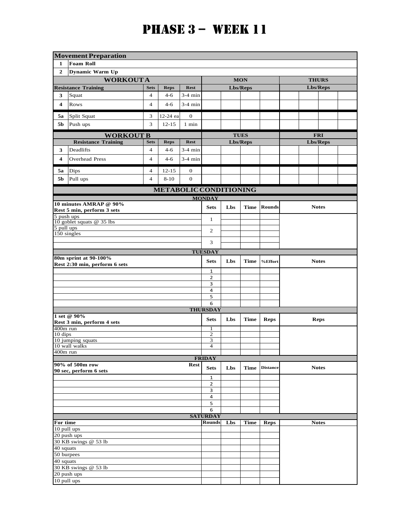|                           | <b>Movement Preparation</b>               |                |                                  |              |                     |             |             |                 |          |              |  |  |  |  |  |
|---------------------------|-------------------------------------------|----------------|----------------------------------|--------------|---------------------|-------------|-------------|-----------------|----------|--------------|--|--|--|--|--|
| 1                         | <b>Foam Roll</b>                          |                |                                  |              |                     |             |             |                 |          |              |  |  |  |  |  |
| $\mathbf{2}$              | <b>Dynamic Warm Up</b>                    |                |                                  |              |                     |             |             |                 |          |              |  |  |  |  |  |
|                           | <b>WORKOUTA</b>                           |                |                                  |              |                     | <b>MON</b>  |             | <b>THURS</b>    |          |              |  |  |  |  |  |
|                           | <b>Resistance Training</b>                | <b>Sets</b>    | <b>Reps</b>                      | <b>Rest</b>  |                     |             | Lbs/Reps    |                 | Lbs/Reps |              |  |  |  |  |  |
| 3                         | Squat                                     | $\overline{4}$ | $4 - 6$                          | $3-4$ min    |                     |             |             |                 |          |              |  |  |  |  |  |
| 4                         | Rows                                      | $\overline{4}$ | $4 - 6$                          | $3-4$ min    |                     |             |             |                 |          |              |  |  |  |  |  |
| 5a                        | Split Squat                               | 3              | 12-24 ea                         | $\mathbf{0}$ |                     |             |             |                 |          |              |  |  |  |  |  |
| 5b                        | Push ups                                  | 3              | $12 - 15$                        | 1 min        |                     |             |             |                 |          |              |  |  |  |  |  |
|                           | <b>WORKOUT B</b>                          |                |                                  |              |                     | <b>TUES</b> |             |                 |          | <b>FRI</b>   |  |  |  |  |  |
|                           | <b>Resistance Training</b>                | <b>Sets</b>    | <b>Reps</b>                      | <b>Rest</b>  |                     | Lbs/Reps    |             |                 |          | Lbs/Reps     |  |  |  |  |  |
| 3                         | Deadlifts                                 | $\overline{4}$ | 4-6                              | $3-4$ min    |                     |             |             |                 |          |              |  |  |  |  |  |
| 4                         | Overhead Press                            | $\overline{4}$ | $4 - 6$                          | $3-4$ min    |                     |             |             |                 |          |              |  |  |  |  |  |
| 5a                        | Dips                                      | 4              | $12 - 15$                        | $\mathbf{0}$ |                     |             |             |                 |          |              |  |  |  |  |  |
| 5b                        | Pull ups                                  | $\overline{4}$ | $8 - 10$                         | $\mathbf{0}$ |                     |             |             |                 |          |              |  |  |  |  |  |
|                           |                                           |                | <b>METABOLIC CONDITIONING</b>    |              |                     |             |             |                 |          |              |  |  |  |  |  |
|                           |                                           |                |                                  |              | <b>MONDAY</b>       |             |             |                 |          |              |  |  |  |  |  |
|                           | 10 minutes AMRAP @ 90%                    |                |                                  |              | <b>Sets</b>         | Lbs         | <b>Time</b> | <b>Rounds</b>   |          | <b>Notes</b> |  |  |  |  |  |
| 5 push ups                | Rest 5 min, perform 3 sets                |                |                                  |              |                     |             |             |                 |          |              |  |  |  |  |  |
|                           | 10 goblet squats @ 35 lbs                 |                | $\mathbf{1}$                     |              |                     |             |             |                 |          |              |  |  |  |  |  |
| 5 pull ups<br>150 singles |                                           |                | 2                                |              |                     |             |             |                 |          |              |  |  |  |  |  |
|                           |                                           |                |                                  |              | 3                   |             |             |                 |          |              |  |  |  |  |  |
|                           |                                           |                |                                  |              |                     |             |             |                 |          |              |  |  |  |  |  |
|                           | 80m sprint at 90-100%                     |                | <b>TUESDAY</b>                   |              |                     |             |             |                 |          |              |  |  |  |  |  |
|                           | Rest 2:30 min, perform 6 sets             |                |                                  |              | <b>Sets</b>         | Lbs         | <b>Time</b> | %Effort         |          | <b>Notes</b> |  |  |  |  |  |
|                           |                                           |                |                                  |              | $\mathbf 1$         |             |             |                 |          |              |  |  |  |  |  |
|                           |                                           |                |                                  |              | 2                   |             |             |                 |          |              |  |  |  |  |  |
|                           |                                           |                |                                  |              | 3<br>4              |             |             |                 |          |              |  |  |  |  |  |
|                           |                                           |                |                                  |              | 5                   |             |             |                 |          |              |  |  |  |  |  |
|                           |                                           |                |                                  |              | 6                   |             |             |                 |          |              |  |  |  |  |  |
|                           |                                           |                |                                  |              | <b>THURSDAY</b>     |             |             |                 |          |              |  |  |  |  |  |
|                           | 1 set @ 90%<br>Rest 3 min, perform 4 sets |                |                                  |              | <b>Sets</b>         | Lbs         | <b>Time</b> | <b>Reps</b>     |          | <b>Reps</b>  |  |  |  |  |  |
| 400m run                  |                                           |                |                                  |              | 1                   |             |             |                 |          |              |  |  |  |  |  |
| $10$ dips                 | 10 jumping squats                         |                |                                  |              | $\mathbf{2}$<br>3   |             |             |                 |          |              |  |  |  |  |  |
|                           | 10 wall walks                             |                |                                  |              | $\overline{4}$      |             |             |                 |          |              |  |  |  |  |  |
| 400m run                  |                                           |                |                                  |              |                     |             |             |                 |          |              |  |  |  |  |  |
|                           | 90% of 500m row                           |                |                                  | <b>Rest</b>  | <b>FRIDAY</b>       |             |             |                 |          |              |  |  |  |  |  |
|                           | 90 sec, perform 6 sets                    |                |                                  |              | <b>Sets</b>         | Lbs         | Time        | <b>Distance</b> |          | <b>Notes</b> |  |  |  |  |  |
|                           |                                           |                |                                  |              | 1                   |             |             |                 |          |              |  |  |  |  |  |
|                           |                                           |                |                                  |              | $\overline{2}$<br>3 |             |             |                 |          |              |  |  |  |  |  |
|                           |                                           |                |                                  |              | $\overline{a}$      |             |             |                 |          |              |  |  |  |  |  |
|                           |                                           |                |                                  |              | 5                   |             |             |                 |          |              |  |  |  |  |  |
|                           |                                           |                | 6                                |              |                     |             |             |                 |          |              |  |  |  |  |  |
| For time                  |                                           |                | <b>SATURDAY</b><br><b>Rounds</b> | Lbs          | <b>Time</b>         | <b>Reps</b> |             | <b>Notes</b>    |          |              |  |  |  |  |  |
| 10 pull ups               |                                           |                |                                  |              |                     |             |             |                 |          |              |  |  |  |  |  |
|                           | 20 push ups                               |                |                                  |              |                     |             |             |                 |          |              |  |  |  |  |  |
|                           | 30 KB swings @ 53 lb                      |                |                                  |              |                     |             |             |                 |          |              |  |  |  |  |  |
| 40 squats                 |                                           |                |                                  |              |                     |             |             |                 |          |              |  |  |  |  |  |
| 50 burpees<br>40 squats   |                                           |                |                                  |              |                     |             |             |                 |          |              |  |  |  |  |  |
|                           | 30 KB swings @ 53 lb                      |                |                                  |              |                     |             |             |                 |          |              |  |  |  |  |  |
|                           | 20 push ups                               |                |                                  |              |                     |             |             |                 |          |              |  |  |  |  |  |
| 10 pull ups               |                                           |                |                                  |              |                     |             |             |                 |          |              |  |  |  |  |  |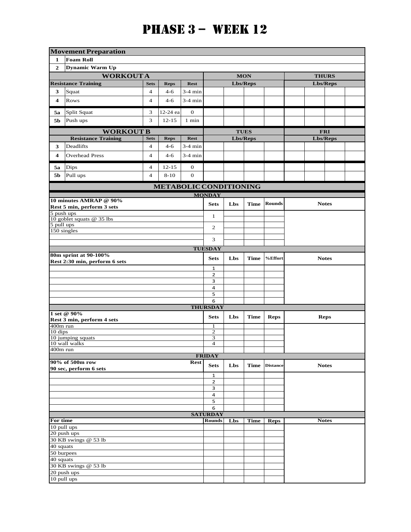|                               | <b>Movement Preparation</b>                           |                                  |                |              |                                |              |             |                 |              |  |  |  |  |
|-------------------------------|-------------------------------------------------------|----------------------------------|----------------|--------------|--------------------------------|--------------|-------------|-----------------|--------------|--|--|--|--|
| 1                             | <b>Foam Roll</b>                                      |                                  |                |              |                                |              |             |                 |              |  |  |  |  |
| $\mathbf{2}$                  | <b>Dynamic Warm Up</b>                                |                                  |                |              |                                |              |             |                 |              |  |  |  |  |
|                               | <b>WORKOUTA</b>                                       |                                  |                |              |                                |              | <b>MON</b>  |                 | <b>THURS</b> |  |  |  |  |
|                               | <b>Resistance Training</b>                            | <b>Sets</b>                      | <b>Reps</b>    | <b>Rest</b>  |                                |              | Lbs/Reps    |                 | Lbs/Reps     |  |  |  |  |
| 3                             | Squat                                                 | $\overline{4}$                   | $4 - 6$        | $3-4$ min    |                                |              |             |                 |              |  |  |  |  |
| 4                             | Rows                                                  | $\overline{4}$                   | $4 - 6$        | $3-4$ min    |                                |              |             |                 |              |  |  |  |  |
| 5a                            | Split Squat                                           | 3                                | 12-24 ea       | 0            |                                |              |             |                 |              |  |  |  |  |
| 5b                            | Push ups                                              | 3                                | $12 - 15$      | $1$ min      |                                |              |             |                 |              |  |  |  |  |
|                               | <b>WORKOUT B</b><br><b>Resistance Training</b>        |                                  |                |              |                                |              | <b>TUES</b> |                 | <b>FRI</b>   |  |  |  |  |
|                               | Deadlifts                                             | <b>Sets</b><br>$\overline{4}$    | <b>Reps</b>    | <b>Rest</b>  |                                |              | Lbs/Reps    |                 | Lbs/Reps     |  |  |  |  |
| 3                             |                                                       |                                  | $4-6$          | $3-4$ min    |                                |              |             |                 |              |  |  |  |  |
| 4                             | <b>Overhead Press</b>                                 | $\overline{4}$                   | $4 - 6$        | $3-4$ min    |                                |              |             |                 |              |  |  |  |  |
| 5а                            | Dips                                                  | $\overline{4}$                   | $12 - 15$      | $\mathbf{0}$ |                                |              |             |                 |              |  |  |  |  |
| 5b                            | Pull ups                                              | $\overline{4}$                   | $8 - 10$       | $\theta$     |                                |              |             |                 |              |  |  |  |  |
| <b>METABOLIC CONDITIONING</b> |                                                       |                                  |                |              |                                |              |             |                 |              |  |  |  |  |
|                               | 10 minutes AMRAP @ 90%                                |                                  |                |              | <b>MONDAY</b>                  |              |             |                 |              |  |  |  |  |
|                               | Rest 5 min, perform 3 sets                            | <b>Sets</b>                      | Lbs            | <b>Time</b>  | <b>Rounds</b>                  | <b>Notes</b> |             |                 |              |  |  |  |  |
| 5 push ups                    | 10 goblet squats $@$ 35 lbs                           |                                  | $\mathbf{1}$   |              |                                |              |             |                 |              |  |  |  |  |
| 5 pull ups<br>$150$ singles   |                                                       |                                  | 2              |              |                                |              |             |                 |              |  |  |  |  |
|                               |                                                       |                                  |                |              |                                |              |             |                 |              |  |  |  |  |
|                               |                                                       |                                  | <b>TUESDAY</b> |              |                                |              |             |                 |              |  |  |  |  |
|                               | 80m sprint at 90-100%                                 |                                  |                |              |                                |              |             |                 |              |  |  |  |  |
|                               | Rest 2:30 min, perform 6 sets                         |                                  |                |              | <b>Sets</b>                    | Lbs          | <b>Time</b> | %Effort         | <b>Notes</b> |  |  |  |  |
|                               |                                                       |                                  |                |              | $\mathbf{1}$<br>$\overline{2}$ |              |             |                 |              |  |  |  |  |
|                               |                                                       |                                  |                |              | 3                              |              |             |                 |              |  |  |  |  |
|                               |                                                       |                                  |                |              | $\overline{4}$                 |              |             |                 |              |  |  |  |  |
|                               |                                                       |                                  |                |              | 5                              |              |             |                 |              |  |  |  |  |
|                               |                                                       |                                  |                |              | 6<br><b>THURSDAY</b>           |              |             |                 |              |  |  |  |  |
|                               | 1 set @ 90%                                           |                                  |                |              |                                |              |             |                 |              |  |  |  |  |
|                               | Rest 3 min, perform 4 sets                            |                                  |                |              | <b>Sets</b>                    | Lbs          | <b>Time</b> | <b>Reps</b>     | <b>Reps</b>  |  |  |  |  |
|                               | 400m run<br>10 dips<br>10 jumping squats              |                                  |                |              | 1                              |              |             |                 |              |  |  |  |  |
|                               |                                                       |                                  |                |              | $\mathbf{2}$<br>$\overline{3}$ |              |             |                 |              |  |  |  |  |
|                               | $\frac{10 \text{ wall walks}}{10 \text{ wall walks}}$ |                                  |                |              | $\overline{4}$                 |              |             |                 |              |  |  |  |  |
| 400m run                      |                                                       |                                  |                |              |                                |              |             |                 |              |  |  |  |  |
|                               | 90% of 500m row                                       |                                  |                | <b>Rest</b>  | <b>FRIDAY</b>                  |              |             |                 |              |  |  |  |  |
|                               | 90 sec, perform 6 sets                                |                                  |                |              | <b>Sets</b>                    | Lbs          | <b>Time</b> | <b>Distance</b> | <b>Notes</b> |  |  |  |  |
|                               |                                                       |                                  |                |              | $\mathbf{1}$                   |              |             |                 |              |  |  |  |  |
|                               |                                                       |                                  |                |              | $\mathbf 2$<br>3               |              |             |                 |              |  |  |  |  |
|                               |                                                       |                                  |                |              | 4                              |              |             |                 |              |  |  |  |  |
|                               |                                                       |                                  | 5              |              |                                |              |             |                 |              |  |  |  |  |
|                               |                                                       |                                  |                |              | 6                              |              |             |                 |              |  |  |  |  |
| For time                      |                                                       | <b>SATURDAY</b><br><b>Rounds</b> | Lbs            | <b>Time</b>  |                                | <b>Notes</b> |             |                 |              |  |  |  |  |
| 10 pull ups                   |                                                       |                                  |                |              |                                |              |             | <b>Reps</b>     |              |  |  |  |  |
|                               | 20 push ups                                           |                                  |                |              |                                |              |             |                 |              |  |  |  |  |
|                               | 30 KB swings @ 53 lb                                  |                                  |                |              |                                |              |             |                 |              |  |  |  |  |
| 40 squats                     |                                                       |                                  |                |              |                                |              |             |                 |              |  |  |  |  |
| 50 burpees<br>40 squats       |                                                       |                                  |                |              |                                |              |             |                 |              |  |  |  |  |
|                               | 30 KB swings @ 53 lb                                  |                                  |                |              |                                |              |             |                 |              |  |  |  |  |
|                               | 20 push ups                                           |                                  |                |              |                                |              |             |                 |              |  |  |  |  |
| 10 pull ups                   |                                                       |                                  |                |              |                                |              |             |                 |              |  |  |  |  |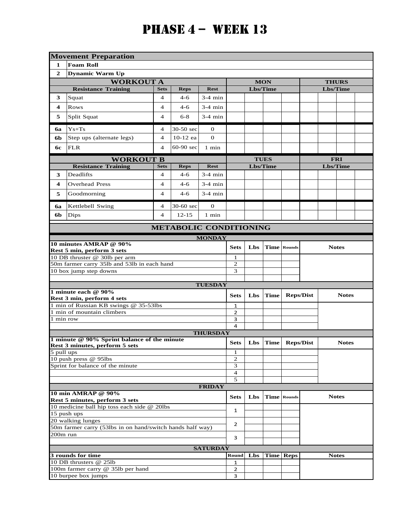|                        | <b>Movement Preparation</b>                                                   |                         |                               |                 |                     |          |                 |                    |              |              |              |  |
|------------------------|-------------------------------------------------------------------------------|-------------------------|-------------------------------|-----------------|---------------------|----------|-----------------|--------------------|--------------|--------------|--------------|--|
| 1                      | <b>Foam Roll</b>                                                              |                         |                               |                 |                     |          |                 |                    |              |              |              |  |
| $\mathbf{2}$           | <b>Dynamic Warm Up</b>                                                        |                         |                               |                 |                     |          |                 |                    |              |              |              |  |
|                        | <b>WORKOUT A</b>                                                              |                         |                               |                 |                     |          | <b>MON</b>      |                    | <b>THURS</b> |              |              |  |
|                        | <b>Resistance Training</b>                                                    | <b>Sets</b>             | <b>Reps</b>                   | <b>Rest</b>     |                     | Lbs/Time |                 |                    |              | Lbs/Time     |              |  |
| 3                      | Squat                                                                         | $\overline{\mathbf{4}}$ | $4 - 6$                       | $3-4$ min       |                     |          |                 |                    |              |              |              |  |
| 4                      | <b>Rows</b>                                                                   | $\overline{4}$          | $4-6$                         | $3-4$ min       |                     |          |                 |                    |              |              |              |  |
| 5                      | Split Squat                                                                   | $\overline{4}$          | $6 - 8$                       | $3-4$ min       |                     |          |                 |                    |              |              |              |  |
| 6a                     | $Ys+Ts$                                                                       | $\overline{4}$          | 30-50 sec                     | 0               |                     |          |                 |                    |              |              |              |  |
| 6b                     | Step ups (alternate legs)                                                     | $\overline{4}$          | 10-12 ea                      | $\mathbf{O}$    |                     |          |                 |                    |              |              |              |  |
| 6с                     | <b>FLR</b>                                                                    | 4                       | 60-90 sec                     | 1 min           |                     |          |                 |                    |              |              |              |  |
|                        | <b>WORKOUT B</b>                                                              |                         |                               |                 | <b>TUES</b>         |          |                 |                    | <b>FRI</b>   |              |              |  |
|                        | <b>Resistance Training</b>                                                    | <b>Sets</b>             | <b>Reps</b>                   | <b>Rest</b>     |                     | Lbs/Time |                 |                    |              | Lbs/Time     |              |  |
| 3                      | Deadlifts                                                                     | $\overline{4}$          | $4-6$                         | $3-4$ min       |                     |          |                 |                    |              |              |              |  |
| 4                      | <b>Overhead Press</b>                                                         | $\overline{4}$          | 4-6                           | $3-4$ min       |                     |          |                 |                    |              |              |              |  |
| 5                      | Goodmorning                                                                   | $3-4$ min               |                               |                 |                     |          |                 |                    |              |              |              |  |
| бa                     | Kettlebell Swing                                                              | $\overline{4}$          | 30-60 sec                     | $\theta$        |                     |          |                 |                    |              |              |              |  |
| 6b                     | Dips                                                                          | $\overline{4}$          | $12 - 15$                     | 1 min           |                     |          |                 |                    |              |              |              |  |
|                        |                                                                               |                         | <b>METABOLIC CONDITIONING</b> |                 |                     |          |                 |                    |              |              |              |  |
|                        |                                                                               |                         |                               | <b>MONDAY</b>   |                     |          |                 |                    |              |              |              |  |
|                        | 10 minutes AMRAP @ 90%                                                        |                         |                               |                 | <b>Sets</b>         | Lbs      |                 | <b>Time</b> Rounds |              | <b>Notes</b> |              |  |
|                        | Rest 5 min, perform 3 sets<br>10 DB thruster @ 30lb per arm                   |                         |                               |                 | 1                   |          |                 |                    |              |              |              |  |
|                        | 50m farmer carry 35lb and 53lb in each hand                                   |                         |                               |                 | $\sqrt{2}$          |          |                 |                    |              |              |              |  |
|                        | 10 box jump step downs                                                        |                         |                               |                 | $\overline{3}$      |          |                 |                    |              |              |              |  |
|                        |                                                                               |                         |                               |                 |                     |          |                 |                    |              |              |              |  |
|                        | 1 minute each @ 90%                                                           |                         |                               | <b>TUESDAY</b>  |                     |          |                 |                    |              |              |              |  |
|                        | Rest 3 min, perform 4 sets                                                    |                         |                               |                 | <b>Sets</b>         | Lbs      | $\mathbf{Time}$ | <b>Reps/Dist</b>   |              |              | <b>Notes</b> |  |
|                        | 1 min of Russian KB swings @ 35-53lbs                                         |                         |                               |                 | 1                   |          |                 |                    |              |              |              |  |
| 1 min row              | 1 min of mountain climbers                                                    |                         |                               |                 | $\overline{2}$<br>3 |          |                 |                    |              |              |              |  |
|                        |                                                                               |                         |                               |                 | 4                   |          |                 |                    |              |              |              |  |
|                        |                                                                               |                         |                               | <b>THURSDAY</b> |                     |          |                 |                    |              |              |              |  |
|                        | 1 minute @ 90% Sprint balance of the minute<br>Rest 3 minutes, perform 5 sets |                         |                               |                 | <b>Sets</b>         | Lbs      | $\mathbf{Time}$ | <b>Reps/Dist</b>   |              |              | <b>Notes</b> |  |
| $\frac{1}{5}$ pull ups |                                                                               |                         |                               |                 | $\mathbf{1}$        |          |                 |                    |              |              |              |  |
|                        | 10 push press @ 95lbs                                                         |                         |                               |                 | $\mathbf{2}$        |          |                 |                    |              |              |              |  |
|                        | Sprint for balance of the minute                                              |                         |                               |                 | 3<br>$\overline{4}$ |          |                 |                    |              |              |              |  |
|                        |                                                                               |                         |                               |                 | 5                   |          |                 |                    |              |              |              |  |
|                        |                                                                               |                         |                               | <b>FRIDAY</b>   |                     |          |                 |                    |              |              |              |  |
|                        | 10 min AMRAP @ 90%                                                            |                         |                               |                 | <b>Sets</b>         | Lbs      |                 | <b>Time Rounds</b> |              | <b>Notes</b> |              |  |
|                        | Rest 5 minutes, perform 3 sets<br>10 medicine ball hip toss each side @ 20lbs |                         |                               |                 |                     |          |                 |                    |              |              |              |  |
|                        | 15 push ups                                                                   |                         | 1                             |                 |                     |          |                 |                    |              |              |              |  |
|                        | 20 walking lunges                                                             |                         | 2                             |                 |                     |          |                 |                    |              |              |              |  |
|                        | 50m farmer carry (53lbs in on hand/switch hands half way)                     |                         |                               |                 |                     |          |                 |                    |              |              |              |  |
| 200m run               |                                                                               | 3                       |                               |                 |                     |          |                 |                    |              |              |              |  |
|                        |                                                                               |                         |                               | <b>SATURDAY</b> |                     |          |                 |                    |              |              |              |  |
|                        | 3 rounds for time                                                             |                         |                               |                 | Round               | Lbs      |                 | <b>Time</b> Reps   |              | <b>Notes</b> |              |  |
|                        | 10 DB thrusters @ 25lb<br>100m farmer carry @ 35lb per hand                   |                         |                               |                 | 1<br>$\overline{2}$ |          |                 |                    |              |              |              |  |
|                        | 10 burpee box jumps                                                           |                         |                               |                 | 3                   |          |                 |                    |              |              |              |  |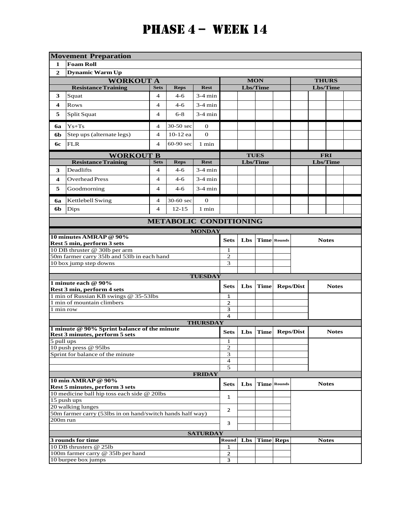|                | <b>Movement Preparation</b>                                 |                         |                               |                 |                                           |            |              |                    |                  |              |              |  |
|----------------|-------------------------------------------------------------|-------------------------|-------------------------------|-----------------|-------------------------------------------|------------|--------------|--------------------|------------------|--------------|--------------|--|
| 1              | <b>Foam Roll</b>                                            |                         |                               |                 |                                           |            |              |                    |                  |              |              |  |
| $\overline{2}$ | <b>Dynamic Warm Up</b>                                      |                         |                               |                 |                                           |            |              |                    |                  |              |              |  |
|                | <b>WORKOUT A</b>                                            |                         |                               |                 |                                           |            | <b>MON</b>   |                    | <b>THURS</b>     |              |              |  |
|                | <b>Resistance Training</b>                                  | <b>Sets</b>             | <b>Reps</b>                   | <b>Rest</b>     |                                           |            | Lbs/Time     |                    |                  | Lbs/Time     |              |  |
| 3              | Squat                                                       | 4                       | $4 - 6$                       | 3-4 min         |                                           |            |              |                    |                  |              |              |  |
| 4              | <b>Rows</b>                                                 | 4                       | $4-6$                         | $3-4$ min       |                                           |            |              |                    |                  |              |              |  |
| 5              | Split Squat                                                 | 4                       | $6 - 8$                       | $3-4$ min       |                                           |            |              |                    |                  |              |              |  |
|                |                                                             |                         |                               |                 |                                           |            |              |                    |                  |              |              |  |
| <b>6a</b>      | $Ys+Ts$                                                     | 4                       | 30-50 sec                     | $\mathbf{0}$    |                                           |            |              |                    |                  |              |              |  |
| 6b             | Step ups (alternate legs)                                   | $\overline{\mathbf{4}}$ | 10-12 ea                      | $\Omega$        |                                           |            |              |                    |                  |              |              |  |
| 6с             | <b>FLR</b>                                                  | 4                       | $60-90$ sec                   | 1 min           |                                           |            |              |                    |                  |              |              |  |
|                | <b>WORKOUT B</b>                                            |                         |                               |                 | <b>TUES</b>                               |            |              | <b>FRI</b>         |                  |              |              |  |
|                | <b>Resistance Training</b>                                  | <b>Rest</b>             |                               |                 | Lbs/Time                                  |            |              | Lbs/Time           |                  |              |              |  |
| 3              | Deadlifts                                                   | 4                       | $4-6$                         | 3-4 min         |                                           |            |              |                    |                  |              |              |  |
| 4              | <b>Overhead Press</b>                                       | 4                       | $4-6$                         | 3-4 min         |                                           |            |              |                    |                  |              |              |  |
|                |                                                             | 4                       |                               |                 |                                           |            |              |                    |                  |              |              |  |
| 5              | Goodmorning                                                 |                         | $4 - 6$                       | $3-4$ min       |                                           |            |              |                    |                  |              |              |  |
| 6a             | Kettlebell Swing                                            | 4                       | 30-60 sec                     | $\mathbf{0}$    |                                           |            |              |                    |                  |              |              |  |
| 6b             | Dips                                                        | $\overline{\mathbf{4}}$ | $12 - 15$                     | 1 min           |                                           |            |              |                    |                  |              |              |  |
|                |                                                             |                         | <b>METABOLIC CONDITIONING</b> |                 |                                           |            |              |                    |                  |              |              |  |
|                |                                                             |                         |                               | <b>MONDAY</b>   |                                           |            |              |                    |                  |              |              |  |
|                | 10 minutes AMRAP @ 90%                                      |                         |                               |                 | <b>Sets</b>                               | Lbs        |              | <b>Time</b> Rounds |                  |              | <b>Notes</b> |  |
|                | Rest 5 min, perform 3 sets<br>10 DB thruster @ 30lb per arm |                         |                               |                 | 1                                         |            |              |                    |                  |              |              |  |
|                | 50m farmer carry 35lb and 53lb in each hand                 |                         |                               |                 | 2                                         |            |              |                    |                  |              |              |  |
|                | 10 box jump step downs                                      |                         |                               |                 | $\overline{3}$                            |            |              |                    |                  |              |              |  |
|                |                                                             |                         |                               |                 |                                           |            |              |                    |                  |              |              |  |
|                | 1 minute each @ 90%                                         |                         |                               | <b>TUESDAY</b>  |                                           |            |              |                    |                  |              |              |  |
|                | Rest 3 min, perform 4 sets                                  |                         |                               |                 | <b>Sets</b>                               | Lbs        | <b>Time</b>  |                    | <b>Reps/Dist</b> |              | <b>Notes</b> |  |
|                | 1 min of Russian KB swings @ 35-53lbs                       |                         |                               |                 | $\mathbf{1}$                              |            |              |                    |                  |              |              |  |
|                | 1 min of mountain climbers                                  |                         |                               |                 | $\overline{2}$                            |            |              |                    |                  |              |              |  |
| 1 min row      |                                                             |                         |                               |                 | 3<br>4                                    |            |              |                    |                  |              |              |  |
|                |                                                             |                         |                               | <b>THURSDAY</b> |                                           |            |              |                    |                  |              |              |  |
|                | 1 minute @ 90% Sprint balance of the minute                 |                         |                               |                 | <b>Sets</b>                               | Lbs        | <b>Time</b>  |                    |                  |              | <b>Notes</b> |  |
|                | Rest 3 minutes, perform 5 sets                              |                         |                               |                 |                                           |            |              | <b>Reps/Dist</b>   |                  |              |              |  |
| 5 pull ups     | 10 push press @ 95lbs                                       |                         |                               |                 | 1<br>$\mathbf{2}$                         |            |              |                    |                  |              |              |  |
|                | Sprint for balance of the minute                            |                         |                               |                 | 3                                         |            |              |                    |                  |              |              |  |
|                |                                                             |                         |                               |                 | $\overline{4}$                            |            |              |                    |                  |              |              |  |
|                |                                                             |                         |                               |                 | 5                                         |            |              |                    |                  |              |              |  |
|                | 10 min AMRAP @ 90%                                          |                         |                               | <b>FRIDAY</b>   |                                           |            |              |                    |                  |              |              |  |
|                | Rest 5 minutes, perform 3 sets                              |                         |                               |                 | <b>Sets</b>                               | <b>Lbs</b> |              | <b>Time</b> Rounds |                  | <b>Notes</b> |              |  |
|                | 10 medicine ball hip toss each side @ 20lbs                 |                         |                               |                 |                                           |            |              |                    |                  |              |              |  |
|                | 15 push ups                                                 |                         | $\mathbf{1}$                  |                 |                                           |            |              |                    |                  |              |              |  |
|                | 20 walking lunges                                           |                         | $\overline{2}$                |                 |                                           |            |              |                    |                  |              |              |  |
|                | 50m farmer carry (53lbs in on hand/switch hands half way)   |                         |                               |                 |                                           |            |              |                    |                  |              |              |  |
| 200m run       |                                                             | 3                       |                               |                 |                                           |            |              |                    |                  |              |              |  |
|                |                                                             |                         |                               | <b>SATURDAY</b> |                                           |            |              |                    |                  |              |              |  |
|                | 3 rounds for time                                           | Round                   |                               |                 | Lbs   Time   Reps                         |            | <b>Notes</b> |                    |                  |              |              |  |
|                | 10 DB thrusters @ 25lb                                      |                         |                               |                 | 1                                         |            |              |                    |                  |              |              |  |
|                | 100m farmer carry @ 35lb per hand<br>10 burpee box jumps    |                         |                               |                 | $\overline{2}$<br>$\overline{\mathbf{3}}$ |            |              |                    |                  |              |              |  |
|                |                                                             |                         |                               |                 |                                           |            |              |                    |                  |              |              |  |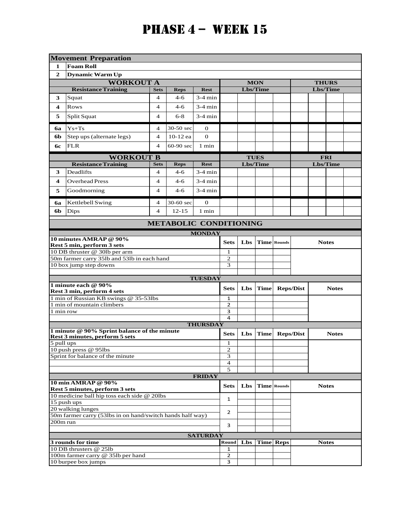|                | <b>Movement Preparation</b>                                 |                               |                |                 |                     |            |                 |                    |                  |              |              |  |  |
|----------------|-------------------------------------------------------------|-------------------------------|----------------|-----------------|---------------------|------------|-----------------|--------------------|------------------|--------------|--------------|--|--|
| 1              | <b>Foam Roll</b>                                            |                               |                |                 |                     |            |                 |                    |                  |              |              |  |  |
| $\overline{2}$ | <b>Dynamic Warm Up</b>                                      |                               |                |                 |                     |            |                 |                    |                  |              |              |  |  |
|                | <b>WORKOUT A</b>                                            |                               |                |                 | <b>MON</b>          |            |                 | <b>THURS</b>       |                  |              |              |  |  |
|                | <b>Resistance Training</b>                                  | <b>Sets</b>                   | <b>Reps</b>    | <b>Rest</b>     |                     |            | <b>Lbs/Time</b> |                    | <b>Lbs/Time</b>  |              |              |  |  |
| 3              | Squat                                                       | 4                             | $4 - 6$        | $3-4$ min       |                     |            |                 |                    |                  |              |              |  |  |
| 4              | <b>Rows</b>                                                 | 4                             | $4-6$          | $3-4$ min       |                     |            |                 |                    |                  |              |              |  |  |
|                |                                                             |                               |                |                 |                     |            |                 |                    |                  |              |              |  |  |
| 5              | Split Squat                                                 | 4                             | $6 - 8$        | $3-4$ min       |                     |            |                 |                    |                  |              |              |  |  |
| <b>6a</b>      | $Ys+Ts$                                                     | 4                             | 30-50 sec      | $\mathbf{0}$    |                     |            |                 |                    |                  |              |              |  |  |
| 6b             | Step ups (alternate legs)                                   | $\overline{\mathbf{4}}$       | 10-12 ea       | $\theta$        |                     |            |                 |                    |                  |              |              |  |  |
| 6с             | <b>FLR</b>                                                  | 4                             | $60-90$ sec    | 1 min           |                     |            |                 |                    |                  |              |              |  |  |
|                | <b>WORKOUT B</b>                                            |                               |                |                 | <b>TUES</b>         |            |                 | <b>FRI</b>         |                  |              |              |  |  |
|                | <b>Resistance Training</b>                                  | <b>Rest</b>                   |                |                 | Lbs/Time            |            |                 | Lbs/Time           |                  |              |              |  |  |
| 3              | Deadlifts                                                   | 4                             | $4-6$          | 3-4 min         |                     |            |                 |                    |                  |              |              |  |  |
| 4              | <b>Overhead Press</b>                                       | 4                             | $4-6$          | 3-4 min         |                     |            |                 |                    |                  |              |              |  |  |
| 5              | Goodmorning                                                 | 4                             | $4-6$          | $3-4$ min       |                     |            |                 |                    |                  |              |              |  |  |
|                |                                                             |                               |                |                 |                     |            |                 |                    |                  |              |              |  |  |
| 6a             | Kettlebell Swing                                            | 4                             | 30-60 sec      | $\mathbf{0}$    |                     |            |                 |                    |                  |              |              |  |  |
| 6b             | Dips                                                        | $\overline{\mathbf{4}}$       | $12 - 15$      | 1 min           |                     |            |                 |                    |                  |              |              |  |  |
|                |                                                             | <b>METABOLIC CONDITIONING</b> |                |                 |                     |            |                 |                    |                  |              |              |  |  |
|                |                                                             |                               |                | <b>MONDAY</b>   |                     |            |                 |                    |                  |              |              |  |  |
|                | 10 minutes AMRAP @ 90%<br>Rest 5 min, perform 3 sets        |                               |                |                 | <b>Sets</b>         | Lbs        |                 | <b>Time Rounds</b> |                  | <b>Notes</b> |              |  |  |
|                | 10 DB thruster @ 30lb per arm                               |                               |                |                 | 1                   |            |                 |                    |                  |              |              |  |  |
|                | 50m farmer carry 351b and 531b in each hand                 |                               |                |                 | 2                   |            |                 |                    |                  |              |              |  |  |
|                | 10 box jump step downs                                      |                               |                |                 | $\overline{3}$      |            |                 |                    |                  |              |              |  |  |
|                |                                                             |                               |                |                 |                     |            |                 |                    |                  |              |              |  |  |
|                | 1 minute each @ 90%                                         |                               |                | <b>TUESDAY</b>  |                     |            |                 |                    |                  |              |              |  |  |
|                | Rest 3 min, perform 4 sets                                  |                               |                |                 | <b>Sets</b>         | Lbs        | <b>Time</b>     |                    | <b>Reps/Dist</b> |              | <b>Notes</b> |  |  |
|                | 1 min of Russian KB swings @ 35-53lbs                       |                               |                |                 | $\mathbf{1}$        |            |                 |                    |                  |              |              |  |  |
|                | 1 min of mountain climbers                                  |                               |                |                 | $\overline{2}$      |            |                 |                    |                  |              |              |  |  |
| 1 min row      |                                                             |                               |                |                 | 3                   |            |                 |                    |                  |              |              |  |  |
|                |                                                             |                               |                |                 | 4                   |            |                 |                    |                  |              |              |  |  |
|                | 1 minute @ 90% Sprint balance of the minute                 |                               |                | <b>THURSDAY</b> |                     |            |                 |                    |                  |              |              |  |  |
|                | Rest 3 minutes, perform 5 sets                              |                               |                |                 | <b>Sets</b>         | Lbs        | <b>Time</b>     |                    | <b>Reps/Dist</b> |              | <b>Notes</b> |  |  |
| 5 pull ups     |                                                             |                               |                |                 | 1                   |            |                 |                    |                  |              |              |  |  |
|                | 10 push press @ 95lbs                                       |                               |                |                 | $\overline{c}$      |            |                 |                    |                  |              |              |  |  |
|                | Sprint for balance of the minute                            |                               |                |                 | 3<br>$\overline{4}$ |            |                 |                    |                  |              |              |  |  |
|                |                                                             |                               |                |                 | 5                   |            |                 |                    |                  |              |              |  |  |
|                |                                                             |                               |                | <b>FRIDAY</b>   |                     |            |                 |                    |                  |              |              |  |  |
|                | 10 min AMRAP @ 90%                                          |                               |                |                 | <b>Sets</b>         | <b>Lbs</b> |                 | <b>Time</b> Rounds |                  | <b>Notes</b> |              |  |  |
|                | Rest 5 minutes, perform 3 sets                              |                               |                |                 |                     |            |                 |                    |                  |              |              |  |  |
|                | 10 medicine ball hip toss each side @ 20lbs<br>15 push ups  |                               | 1              |                 |                     |            |                 |                    |                  |              |              |  |  |
|                | 20 walking lunges                                           |                               |                |                 |                     |            |                 |                    |                  |              |              |  |  |
|                | 50m farmer carry (53lbs in on hand/switch hands half way)   |                               | $\overline{2}$ |                 |                     |            |                 |                    |                  |              |              |  |  |
| 200m run       |                                                             |                               |                |                 |                     |            |                 |                    |                  |              |              |  |  |
|                |                                                             | 3                             |                |                 |                     |            |                 |                    |                  |              |              |  |  |
|                |                                                             |                               |                | <b>SATURDAY</b> |                     |            |                 |                    |                  |              |              |  |  |
|                | 3 rounds for time                                           | Round                         |                |                 | Lbs   Time   Reps   |            | <b>Notes</b>    |                    |                  |              |              |  |  |
|                | 10 DB thrusters @ 25lb<br>100m farmer carry @ 35lb per hand |                               |                |                 | 1<br>$\overline{2}$ |            |                 |                    |                  |              |              |  |  |
|                | 10 burpee box jumps                                         |                               |                |                 | 3                   |            |                 |                    |                  |              |              |  |  |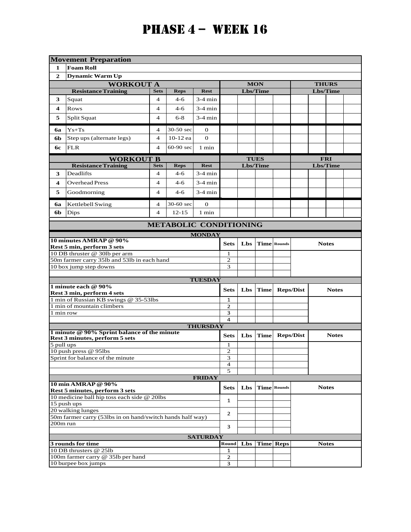|                         | <b>Movement Preparation</b>                                                  |                         |                               |                  |                     |              |             |                    |                  |              |              |  |
|-------------------------|------------------------------------------------------------------------------|-------------------------|-------------------------------|------------------|---------------------|--------------|-------------|--------------------|------------------|--------------|--------------|--|
| 1                       | <b>Foam Roll</b>                                                             |                         |                               |                  |                     |              |             |                    |                  |              |              |  |
| $\overline{2}$          | <b>Dynamic Warm Up</b>                                                       |                         |                               |                  |                     |              |             |                    |                  |              |              |  |
|                         | <b>WORKOUT A</b>                                                             |                         |                               |                  |                     |              | <b>MON</b>  |                    |                  | <b>THURS</b> |              |  |
|                         | <b>Resistance Training</b>                                                   | <b>Sets</b>             | <b>Reps</b>                   | <b>Rest</b>      |                     |              | Lbs/Time    |                    |                  | Lbs/Time     |              |  |
| 3                       | Squat                                                                        | 4                       | 4-6                           | 3-4 min          |                     |              |             |                    |                  |              |              |  |
| 4                       | <b>Rows</b>                                                                  | 4                       | 4-6                           | $3-4$ min        |                     |              |             |                    |                  |              |              |  |
| 5                       | Split Squat                                                                  | $\overline{4}$          | $6 - 8$                       | $3-4$ min        |                     |              |             |                    |                  |              |              |  |
|                         |                                                                              |                         |                               |                  |                     |              |             |                    |                  |              |              |  |
| бa                      | $Ys+Ts$                                                                      | 4                       | 30-50 sec                     | 0                |                     |              |             |                    |                  |              |              |  |
| <b>6b</b>               | Step ups (alternate legs)                                                    | $\overline{\mathbf{4}}$ | 10-12 ea                      | $\theta$         |                     |              |             |                    |                  |              |              |  |
| 6с                      | <b>FLR</b>                                                                   | 4                       | $60-90$ sec                   | 1 min            |                     |              |             |                    |                  |              |              |  |
|                         | <b>WORKOUT B</b>                                                             |                         |                               |                  | <b>TUES</b>         |              |             | <b>FRI</b>         |                  |              |              |  |
|                         | <b>Resistance Training</b>                                                   | <b>Sets</b>             | <b>Reps</b>                   | <b>Rest</b>      |                     |              | Lbs/Time    |                    |                  | Lbs/Time     |              |  |
| 3                       | Deadlifts                                                                    | 4                       | $4-6$                         | 3-4 min          |                     |              |             |                    |                  |              |              |  |
| 4                       | <b>Overhead Press</b>                                                        | 4                       | 4-6                           | $3-4$ min        |                     |              |             |                    |                  |              |              |  |
| 5                       | Goodmorning                                                                  | 4                       | 4-6                           | $3-4$ min        |                     |              |             |                    |                  |              |              |  |
|                         |                                                                              |                         |                               |                  |                     |              |             |                    |                  |              |              |  |
| бa                      | Kettlebell Swing                                                             | 4                       | 30-60 sec                     | $\mathbf{0}$     |                     |              |             |                    |                  |              |              |  |
| 6b                      | Dips                                                                         | 4                       | $12 - 15$                     | $1$ min          |                     |              |             |                    |                  |              |              |  |
|                         |                                                                              |                         | <b>METABOLIC CONDITIONING</b> |                  |                     |              |             |                    |                  |              |              |  |
|                         |                                                                              |                         |                               | <b>MONDAY</b>    |                     |              |             |                    |                  |              |              |  |
|                         | 10 minutes AMRAP @ 90%                                                       |                         |                               |                  | <b>Sets</b>         | Lbs          |             | <b>Time</b> Rounds |                  | <b>Notes</b> |              |  |
|                         | Rest 5 min, perform 3 sets                                                   |                         |                               |                  |                     |              |             |                    |                  |              |              |  |
|                         | 10 DB thruster @ 30lb per arm<br>50m farmer carry 351b and 531b in each hand |                         |                               |                  | 1<br>$\overline{c}$ |              |             |                    |                  |              |              |  |
|                         | 10 box jump step downs                                                       |                         |                               |                  | 3                   |              |             |                    |                  |              |              |  |
|                         |                                                                              |                         |                               |                  |                     |              |             |                    |                  |              |              |  |
|                         |                                                                              |                         |                               | <b>TUESDAY</b>   |                     |              |             |                    |                  |              |              |  |
|                         | 1 minute each @ 90%<br>Rest 3 min, perform 4 sets                            |                         |                               |                  | <b>Sets</b>         | Lbs          | <b>Time</b> |                    | <b>Reps/Dist</b> |              | <b>Notes</b> |  |
|                         | 1 min of Russian KB swings @ 35-53lbs                                        |                         |                               |                  | $\mathbf{1}$        |              |             |                    |                  |              |              |  |
|                         | 1 min of mountain climbers                                                   |                         |                               |                  | 2                   |              |             |                    |                  |              |              |  |
| 1 min row               |                                                                              |                         |                               |                  | 3                   |              |             |                    |                  |              |              |  |
|                         |                                                                              |                         |                               |                  | 4                   |              |             |                    |                  |              |              |  |
|                         | 1 minute @ 90% Sprint balance of the minute                                  |                         |                               | <b>THURSDAY</b>  |                     |              |             |                    |                  |              |              |  |
|                         | Rest 3 minutes, perform 5 sets                                               |                         |                               |                  | <b>Sets</b>         | Lbs          | <b>Time</b> |                    | <b>Reps/Dist</b> |              | <b>Notes</b> |  |
| $\overline{5}$ pull ups |                                                                              |                         |                               |                  | 1                   |              |             |                    |                  |              |              |  |
|                         | 10 push press @ 95lbs<br>Sprint for balance of the minute                    |                         |                               |                  | $\sqrt{2}$          |              |             |                    |                  |              |              |  |
|                         |                                                                              |                         |                               |                  | 3<br>$\overline{4}$ |              |             |                    |                  |              |              |  |
|                         |                                                                              |                         |                               |                  | 5                   |              |             |                    |                  |              |              |  |
|                         |                                                                              |                         |                               | <b>FRIDAY</b>    |                     |              |             |                    |                  |              |              |  |
|                         | 10 min AMRAP @ 90%<br>Rest 5 minutes, perform 3 sets                         |                         |                               |                  | <b>Sets</b>         | Lbs          |             | <b>Time</b> Rounds |                  | <b>Notes</b> |              |  |
|                         | 10 medicine ball hip toss each side @ 20lbs                                  |                         |                               |                  |                     |              |             |                    |                  |              |              |  |
|                         | 15 push ups                                                                  |                         | $\mathbf{1}$                  |                  |                     |              |             |                    |                  |              |              |  |
|                         | 20 walking lunges                                                            |                         | $\overline{2}$                |                  |                     |              |             |                    |                  |              |              |  |
|                         | 50m farmer carry (53lbs in on hand/switch hands half way)                    |                         |                               |                  |                     |              |             |                    |                  |              |              |  |
| 200m run                |                                                                              |                         |                               |                  | 3                   |              |             |                    |                  |              |              |  |
|                         |                                                                              |                         |                               |                  |                     |              |             |                    |                  |              |              |  |
|                         | 3 rounds for time                                                            | Lbs                     |                               | <b>Time Reps</b> |                     | <b>Notes</b> |             |                    |                  |              |              |  |
|                         | 10 DB thrusters @ 25lb                                                       |                         | 1                             |                  |                     |              |             |                    |                  |              |              |  |
|                         | 100m farmer carry @ 35lb per hand                                            |                         |                               |                  | $\overline{2}$      |              |             |                    |                  |              |              |  |
|                         | 10 burpee box jumps                                                          |                         |                               |                  | 3                   |              |             |                    |                  |              |              |  |